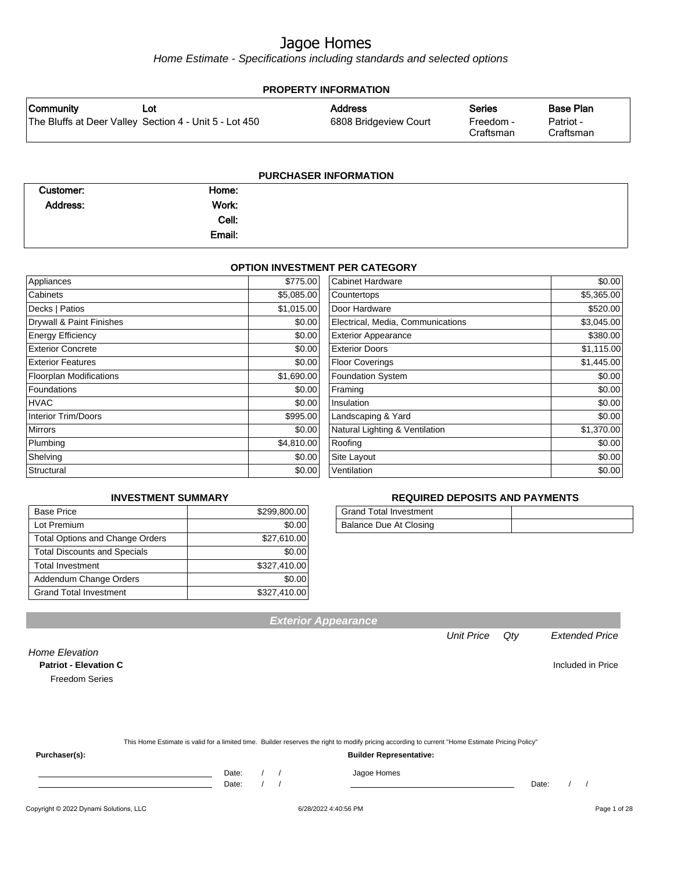Home Estimate - Specifications including standards and selected options

| Community | Lot                                                    | <b>Address</b>        | <b>Series</b>          | <b>Base Plan</b>       |
|-----------|--------------------------------------------------------|-----------------------|------------------------|------------------------|
|           | The Bluffs at Deer Valley Section 4 - Unit 5 - Lot 450 | 6808 Bridgeview Court | Freedom -<br>Craftsman | Patriot -<br>Craftsman |
|           |                                                        |                       |                        |                        |

| <b>PURCHASER INFORMATION</b> |        |  |  |  |  |
|------------------------------|--------|--|--|--|--|
| Customer:                    | Home:  |  |  |  |  |
| Address:                     | Work:  |  |  |  |  |
|                              | Cell:  |  |  |  |  |
|                              | Email: |  |  |  |  |

#### **OPTION INVESTMENT PER CATEGORY**

| Appliances                     | \$775.00   | <b>Cabinet Hardware</b>           | \$0.00     |
|--------------------------------|------------|-----------------------------------|------------|
| Cabinets                       | \$5,085.00 | Countertops                       | \$5,365.00 |
| Decks   Patios                 | \$1,015.00 | Door Hardware                     | \$520.00   |
| Drywall & Paint Finishes       | \$0.00     | Electrical, Media, Communications | \$3,045.00 |
| <b>Energy Efficiency</b>       | \$0.00     | <b>Exterior Appearance</b>        | \$380.00   |
| <b>Exterior Concrete</b>       | \$0.00     | <b>Exterior Doors</b>             | \$1,115.00 |
| <b>Exterior Features</b>       | \$0.00     | <b>Floor Coverings</b>            | \$1,445.00 |
| <b>Floorplan Modifications</b> | \$1,690.00 | Foundation System                 | \$0.00     |
| Foundations                    | \$0.00     | Framing                           | \$0.00     |
| <b>HVAC</b>                    | \$0.00     | Insulation                        | \$0.00     |
| Interior Trim/Doors            | \$995.00   | Landscaping & Yard                | \$0.00     |
| <b>Mirrors</b>                 | \$0.00     | Natural Lighting & Ventilation    | \$1,370.00 |
| Plumbing                       | \$4,810.00 | Roofing                           | \$0.00     |
| Shelving                       | \$0.00     | Site Layout                       | \$0.00     |
| Structural                     | \$0.00     | Ventilation                       | \$0.00     |

#### **INVESTMENT SUMMARY**

| <b>Base Price</b>                      | \$299,800.00 |
|----------------------------------------|--------------|
| Lot Premium                            | \$0.00       |
| <b>Total Options and Change Orders</b> | \$27,610.00  |
| <b>Total Discounts and Specials</b>    | \$0.00       |
| <b>Total Investment</b>                | \$327,410.00 |
| Addendum Change Orders                 | \$0.00       |
| <b>Grand Total Investment</b>          | \$327,410.00 |

#### **REQUIRED DEPOSITS AND PAYMENTS**

| <b>Grand Total Investment</b> |  |
|-------------------------------|--|
| Balance Due At Closing        |  |

| <b>Exterior Appearance</b> |
|----------------------------|
|----------------------------|

#### Unit Price Qty Extended Price

Home Elevation **Patriot - Elevation C** Included in Price Freedom Series

|               | This Home Estimate is valid for a limited time. Builder reserves the right to modify pricing according to current "Home Estimate Pricing Policy" |  |
|---------------|--------------------------------------------------------------------------------------------------------------------------------------------------|--|
| Purchaser(s): | <b>Builder Representative:</b>                                                                                                                   |  |

Date: / / Jagoe Homes<br>Date: / / Jagoe Homes

Copyright © 2022 Dynami Solutions, LLC <br>
6/28/2022 4:40:56 PM Page 1 of 28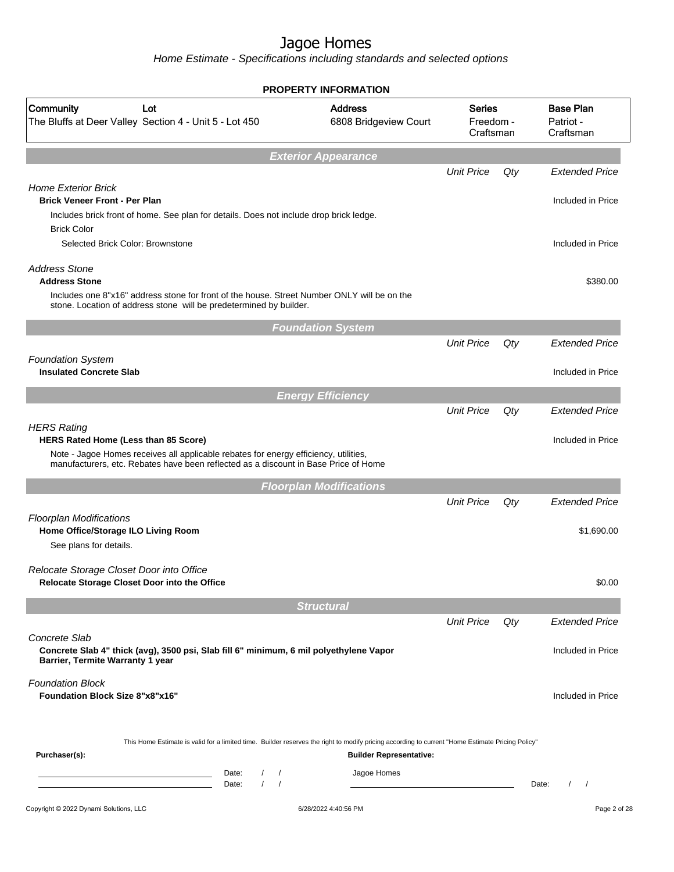|                                                                                                                                                                                                                                           | <b>PROPERTY INFORMATION</b>             |                                  |        |                                            |
|-------------------------------------------------------------------------------------------------------------------------------------------------------------------------------------------------------------------------------------------|-----------------------------------------|----------------------------------|--------|--------------------------------------------|
| Community<br>Lot<br>The Bluffs at Deer Valley Section 4 - Unit 5 - Lot 450                                                                                                                                                                | <b>Address</b><br>6808 Bridgeview Court | Series<br>Freedom -<br>Craftsman |        | <b>Base Plan</b><br>Patriot -<br>Craftsman |
|                                                                                                                                                                                                                                           | <b>Exterior Appearance</b>              |                                  |        |                                            |
| <b>Home Exterior Brick</b><br><b>Brick Veneer Front - Per Plan</b>                                                                                                                                                                        |                                         | <b>Unit Price</b>                | Qty    | <b>Extended Price</b><br>Included in Price |
| Includes brick front of home. See plan for details. Does not include drop brick ledge.<br><b>Brick Color</b><br>Selected Brick Color: Brownstone                                                                                          |                                         |                                  |        | Included in Price                          |
| <b>Address Stone</b><br><b>Address Stone</b><br>Includes one 8"x16" address stone for front of the house. Street Number ONLY will be on the<br>stone. Location of address stone will be predetermined by builder.                         |                                         |                                  |        | \$380.00                                   |
|                                                                                                                                                                                                                                           | <b>Foundation System</b>                |                                  |        |                                            |
| <b>Foundation System</b>                                                                                                                                                                                                                  |                                         | <b>Unit Price</b>                | Qty    | <b>Extended Price</b>                      |
| <b>Insulated Concrete Slab</b>                                                                                                                                                                                                            |                                         |                                  |        | Included in Price                          |
|                                                                                                                                                                                                                                           | <b>Energy Efficiency</b>                |                                  |        |                                            |
| <b>HERS Rating</b><br>HERS Rated Home (Less than 85 Score)<br>Note - Jagoe Homes receives all applicable rebates for energy efficiency, utilities,<br>manufacturers, etc. Rebates have been reflected as a discount in Base Price of Home |                                         | <b>Unit Price</b>                | Qty    | <b>Extended Price</b><br>Included in Price |
|                                                                                                                                                                                                                                           | <b>Floorplan Modifications</b>          |                                  |        |                                            |
| <b>Floorplan Modifications</b><br>Home Office/Storage ILO Living Room<br>See plans for details.                                                                                                                                           |                                         | <b>Unit Price</b>                | Qty    | <b>Extended Price</b><br>\$1,690.00        |
| Relocate Storage Closet Door into Office<br>Relocate Storage Closet Door into the Office                                                                                                                                                  |                                         |                                  |        | \$0.00                                     |
|                                                                                                                                                                                                                                           | <b>Structural</b>                       |                                  |        |                                            |
| Concrete Slab<br>Concrete Slab 4" thick (avg), 3500 psi, Slab fill 6" minimum, 6 mil polyethylene Vapor<br>Barrier, Termite Warranty 1 year                                                                                               |                                         | <b>Unit Price</b>                | $Q$ ty | <b>Extended Price</b><br>Included in Price |
| <b>Foundation Block</b><br><b>Foundation Block Size 8"x8"x16"</b>                                                                                                                                                                         |                                         |                                  |        | Included in Price                          |
| This Home Estimate is valid for a limited time. Builder reserves the right to modify pricing according to current "Home Estimate Pricing Policy"<br>Purchaser(s):                                                                         | <b>Builder Representative:</b>          |                                  |        |                                            |
| $\sqrt{2}$<br>$\prime$<br>Date:<br><u> 1989 - Johann Barn, mars ann an t-Amhain Aonaich an t-Aonaich an t-Aonaich ann an t-Aonaich ann an t-Aonaich</u><br>$\sqrt{ }$<br>Date:<br>$\sqrt{2}$                                              | Jagoe Homes                             |                                  |        | Date:                                      |
| Copyright © 2022 Dynami Solutions, LLC                                                                                                                                                                                                    | 6/28/2022 4:40:56 PM                    |                                  |        | Page 2 of 28                               |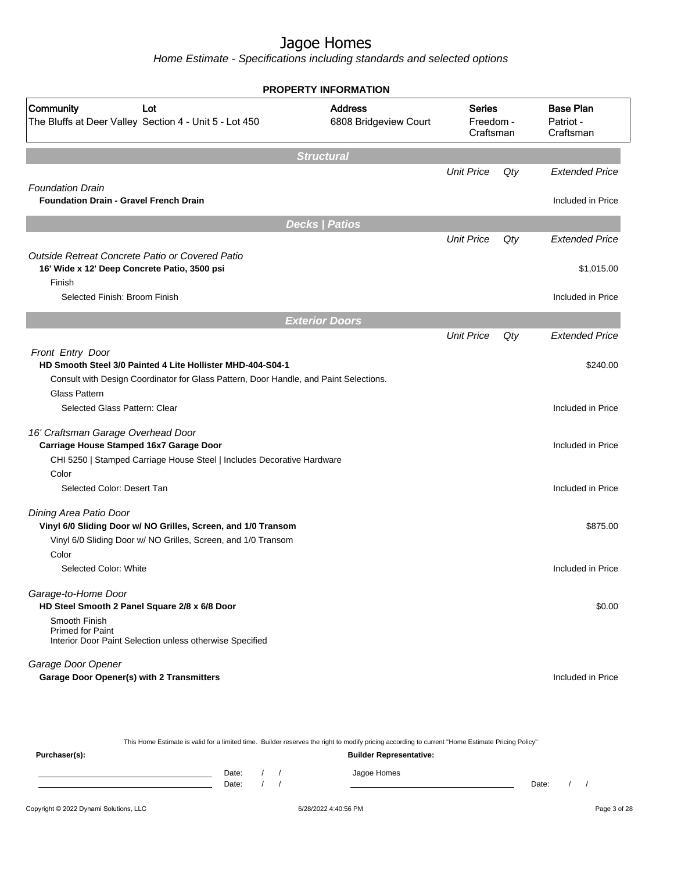Home Estimate - Specifications including standards and selected options

|                                                                                                      | <b>PROPERTY INFORMATION</b>             |                                         |     |                                            |
|------------------------------------------------------------------------------------------------------|-----------------------------------------|-----------------------------------------|-----|--------------------------------------------|
| Community<br>Lot<br>The Bluffs at Deer Valley Section 4 - Unit 5 - Lot 450                           | <b>Address</b><br>6808 Bridgeview Court | <b>Series</b><br>Freedom -<br>Craftsman |     | <b>Base Plan</b><br>Patriot -<br>Craftsman |
|                                                                                                      | <b>Structural</b>                       |                                         |     |                                            |
|                                                                                                      |                                         | <b>Unit Price</b>                       | Qty | <b>Extended Price</b>                      |
| <b>Foundation Drain</b>                                                                              |                                         |                                         |     |                                            |
| <b>Foundation Drain - Gravel French Drain</b>                                                        |                                         |                                         |     | Included in Price                          |
|                                                                                                      | <b>Decks   Patios</b>                   |                                         |     |                                            |
|                                                                                                      |                                         | <b>Unit Price</b>                       | Qty | <b>Extended Price</b>                      |
| Outside Retreat Concrete Patio or Covered Patio                                                      |                                         |                                         |     |                                            |
| 16' Wide x 12' Deep Concrete Patio, 3500 psi                                                         |                                         |                                         |     | \$1,015.00                                 |
| Finish                                                                                               |                                         |                                         |     |                                            |
| Selected Finish: Broom Finish                                                                        |                                         |                                         |     | Included in Price                          |
|                                                                                                      | <b>Exterior Doors</b>                   |                                         |     |                                            |
|                                                                                                      |                                         | <b>Unit Price</b>                       | Qty | <b>Extended Price</b>                      |
| Front Entry Door                                                                                     |                                         |                                         |     |                                            |
| HD Smooth Steel 3/0 Painted 4 Lite Hollister MHD-404-S04-1                                           |                                         |                                         |     | \$240.00                                   |
| Consult with Design Coordinator for Glass Pattern, Door Handle, and Paint Selections.                |                                         |                                         |     |                                            |
| <b>Glass Pattern</b>                                                                                 |                                         |                                         |     |                                            |
| Selected Glass Pattern: Clear                                                                        |                                         |                                         |     | Included in Price                          |
| 16' Craftsman Garage Overhead Door                                                                   |                                         |                                         |     |                                            |
| Carriage House Stamped 16x7 Garage Door                                                              |                                         |                                         |     | Included in Price                          |
| CHI 5250   Stamped Carriage House Steel   Includes Decorative Hardware                               |                                         |                                         |     |                                            |
| Color                                                                                                |                                         |                                         |     |                                            |
| Selected Color: Desert Tan                                                                           |                                         |                                         |     | Included in Price                          |
| Dining Area Patio Door                                                                               |                                         |                                         |     |                                            |
| Vinyl 6/0 Sliding Door w/ NO Grilles, Screen, and 1/0 Transom                                        |                                         |                                         |     | \$875.00                                   |
| Vinyl 6/0 Sliding Door w/ NO Grilles, Screen, and 1/0 Transom                                        |                                         |                                         |     |                                            |
| Color                                                                                                |                                         |                                         |     |                                            |
| Selected Color: White                                                                                |                                         |                                         |     | Included in Price                          |
|                                                                                                      |                                         |                                         |     |                                            |
| Garage-to-Home Door<br>HD Steel Smooth 2 Panel Square 2/8 x 6/8 Door                                 |                                         |                                         |     | \$0.00                                     |
| Smooth Finish<br><b>Primed for Paint</b><br>Interior Door Paint Selection unless otherwise Specified |                                         |                                         |     |                                            |
|                                                                                                      |                                         |                                         |     |                                            |
| Garage Door Opener                                                                                   |                                         |                                         |     |                                            |
| <b>Garage Door Opener(s) with 2 Transmitters</b>                                                     |                                         |                                         |     | Included in Price                          |

This Home Estimate is valid for a limited time. Builder reserves the right to modify pricing according to current "Home Estimate Pricing Policy" **Purchaser(s): Builder Representative:** Date: / / Jagoe Homes<br>Date: / / Jagoe Homes Date: / / Date: / /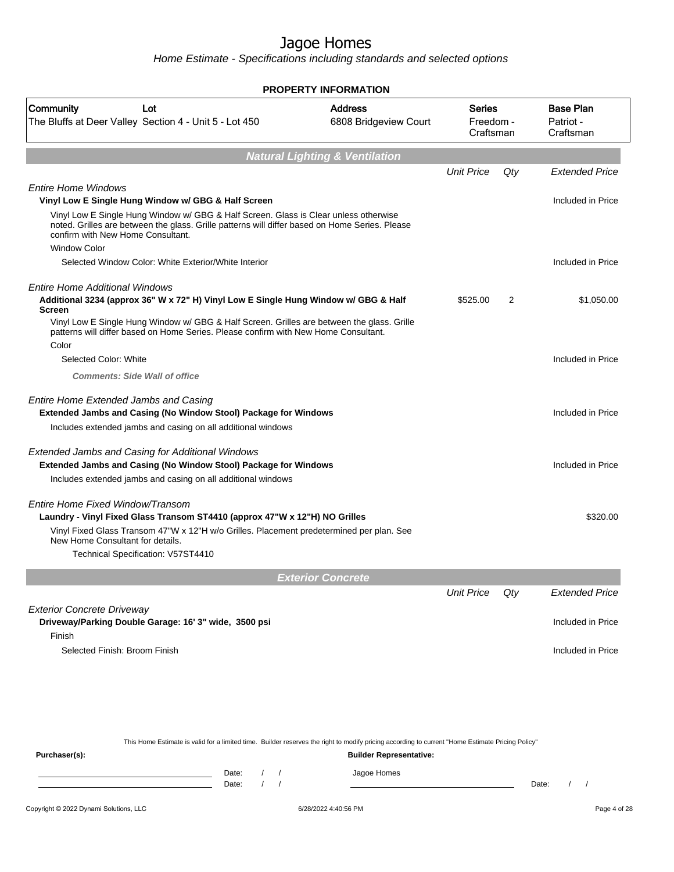|                                                                                                                                                                                                                                                    | <b>PROPERTY INFORMATION</b>               |                                  |     |                                            |
|----------------------------------------------------------------------------------------------------------------------------------------------------------------------------------------------------------------------------------------------------|-------------------------------------------|----------------------------------|-----|--------------------------------------------|
| Community<br>Lot<br>The Bluffs at Deer Valley Section 4 - Unit 5 - Lot 450                                                                                                                                                                         | <b>Address</b><br>6808 Bridgeview Court   | Series<br>Freedom -<br>Craftsman |     | <b>Base Plan</b><br>Patriot -<br>Craftsman |
|                                                                                                                                                                                                                                                    | <b>Natural Lighting &amp; Ventilation</b> |                                  |     |                                            |
|                                                                                                                                                                                                                                                    |                                           | <b>Unit Price</b>                | Qty | <b>Extended Price</b>                      |
| <b>Entire Home Windows</b><br>Vinyl Low E Single Hung Window w/ GBG & Half Screen                                                                                                                                                                  |                                           |                                  |     | Included in Price                          |
| Vinyl Low E Single Hung Window w/ GBG & Half Screen. Glass is Clear unless otherwise<br>noted. Grilles are between the glass. Grille patterns will differ based on Home Series. Please<br>confirm with New Home Consultant.<br><b>Window Color</b> |                                           |                                  |     |                                            |
| Selected Window Color: White Exterior/White Interior                                                                                                                                                                                               |                                           |                                  |     | Included in Price                          |
| Entire Home Additional Windows<br>Additional 3234 (approx 36" W x 72" H) Vinyl Low E Single Hung Window w/ GBG & Half<br><b>Screen</b>                                                                                                             |                                           | \$525.00                         | 2   | \$1,050.00                                 |
| Vinyl Low E Single Hung Window w/ GBG & Half Screen. Grilles are between the glass. Grille<br>patterns will differ based on Home Series. Please confirm with New Home Consultant.<br>Color                                                         |                                           |                                  |     |                                            |
| Selected Color: White                                                                                                                                                                                                                              |                                           |                                  |     | Included in Price                          |
| <b>Comments: Side Wall of office</b>                                                                                                                                                                                                               |                                           |                                  |     |                                            |
| <b>Entire Home Extended Jambs and Casing</b><br>Extended Jambs and Casing (No Window Stool) Package for Windows                                                                                                                                    |                                           |                                  |     | Included in Price                          |
| Includes extended jambs and casing on all additional windows                                                                                                                                                                                       |                                           |                                  |     |                                            |
| Extended Jambs and Casing for Additional Windows<br>Extended Jambs and Casing (No Window Stool) Package for Windows                                                                                                                                |                                           |                                  |     | Included in Price                          |
| Includes extended jambs and casing on all additional windows                                                                                                                                                                                       |                                           |                                  |     |                                            |
| Entire Home Fixed Window/Transom<br>Laundry - Vinyl Fixed Glass Transom ST4410 (approx 47"W x 12"H) NO Grilles                                                                                                                                     |                                           |                                  |     | \$320.00                                   |
| Vinyl Fixed Glass Transom 47"W x 12"H w/o Grilles. Placement predetermined per plan. See<br>New Home Consultant for details.                                                                                                                       |                                           |                                  |     |                                            |
| Technical Specification: V57ST4410                                                                                                                                                                                                                 |                                           |                                  |     |                                            |
|                                                                                                                                                                                                                                                    | <b>Exterior Concrete</b>                  |                                  |     |                                            |
|                                                                                                                                                                                                                                                    |                                           | <b>Unit Price</b>                | Qty | <b>Extended Price</b>                      |
| <b>Exterior Concrete Driveway</b><br>Driveway/Parking Double Garage: 16' 3" wide, 3500 psi                                                                                                                                                         |                                           |                                  |     | Included in Price                          |
| Finish<br>Selected Finish: Broom Finish                                                                                                                                                                                                            |                                           |                                  |     | Included in Price                          |
| This Home Estimate is valid for a limited time. Builder reserves the right to modify pricing according to current "Home Estimate Pricing Policy"                                                                                                   |                                           |                                  |     |                                            |
| Purchaser(s):                                                                                                                                                                                                                                      | <b>Builder Representative:</b>            |                                  |     |                                            |
| Date:<br>$\sqrt{2}$<br>$\sqrt{ }$                                                                                                                                                                                                                  | Jagoe Homes                               |                                  |     |                                            |
| Date:                                                                                                                                                                                                                                              |                                           |                                  |     | Date:<br>$\prime$<br>$\sqrt{ }$            |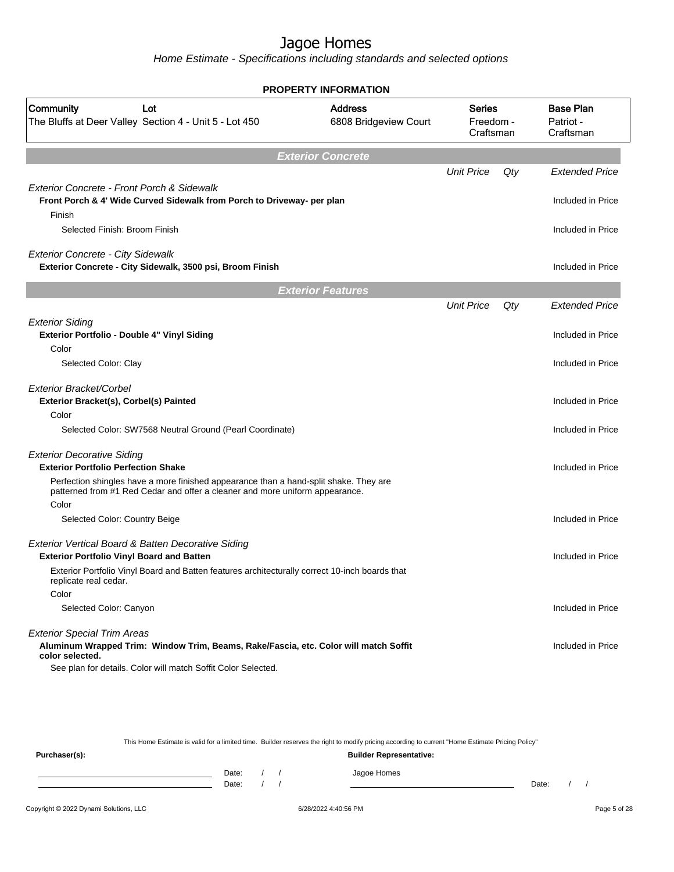|                                                                                                                                                                       | <b>PROPERTY INFORMATION</b>             |                                         |     |                                            |
|-----------------------------------------------------------------------------------------------------------------------------------------------------------------------|-----------------------------------------|-----------------------------------------|-----|--------------------------------------------|
| Community<br>Lot<br>The Bluffs at Deer Valley Section 4 - Unit 5 - Lot 450                                                                                            | <b>Address</b><br>6808 Bridgeview Court | <b>Series</b><br>Freedom -<br>Craftsman |     | <b>Base Plan</b><br>Patriot -<br>Craftsman |
|                                                                                                                                                                       | <b>Exterior Concrete</b>                |                                         |     |                                            |
|                                                                                                                                                                       |                                         | <b>Unit Price</b>                       | Qty | <b>Extended Price</b>                      |
| Exterior Concrete - Front Porch & Sidewalk<br>Front Porch & 4' Wide Curved Sidewalk from Porch to Driveway- per plan                                                  |                                         |                                         |     | Included in Price                          |
| Finish<br>Selected Finish: Broom Finish                                                                                                                               |                                         |                                         |     | Included in Price                          |
| <b>Exterior Concrete - City Sidewalk</b><br>Exterior Concrete - City Sidewalk, 3500 psi, Broom Finish                                                                 |                                         |                                         |     | Included in Price                          |
|                                                                                                                                                                       | <b>Exterior Features</b>                |                                         |     |                                            |
|                                                                                                                                                                       |                                         | <b>Unit Price</b>                       | Qty | <b>Extended Price</b>                      |
| <b>Exterior Siding</b><br>Exterior Portfolio - Double 4" Vinyl Siding                                                                                                 |                                         |                                         |     | Included in Price                          |
| Color                                                                                                                                                                 |                                         |                                         |     |                                            |
| Selected Color: Clay                                                                                                                                                  |                                         |                                         |     | Included in Price                          |
| Exterior Bracket/Corbel<br>Exterior Bracket(s), Corbel(s) Painted                                                                                                     |                                         |                                         |     | Included in Price                          |
| Color                                                                                                                                                                 |                                         |                                         |     |                                            |
| Selected Color: SW7568 Neutral Ground (Pearl Coordinate)                                                                                                              |                                         |                                         |     | Included in Price                          |
| <b>Exterior Decorative Siding</b><br><b>Exterior Portfolio Perfection Shake</b>                                                                                       |                                         |                                         |     | Included in Price                          |
| Perfection shingles have a more finished appearance than a hand-split shake. They are<br>patterned from #1 Red Cedar and offer a cleaner and more uniform appearance. |                                         |                                         |     |                                            |
| Color<br>Selected Color: Country Beige                                                                                                                                |                                         |                                         |     | Included in Price                          |
|                                                                                                                                                                       |                                         |                                         |     |                                            |
| Exterior Vertical Board & Batten Decorative Siding<br><b>Exterior Portfolio Vinyl Board and Batten</b>                                                                |                                         |                                         |     | Included in Price                          |
| Exterior Portfolio Vinyl Board and Batten features architecturally correct 10-inch boards that<br>replicate real cedar.                                               |                                         |                                         |     |                                            |
| Color                                                                                                                                                                 |                                         |                                         |     |                                            |
| Selected Color: Canyon                                                                                                                                                |                                         |                                         |     | Included in Price                          |
| <b>Exterior Special Trim Areas</b><br>Aluminum Wrapped Trim: Window Trim, Beams, Rake/Fascia, etc. Color will match Soffit                                            |                                         |                                         |     | Included in Price                          |
| color selected.<br>See plan for details. Color will match Soffit Color Selected.                                                                                      |                                         |                                         |     |                                            |
|                                                                                                                                                                       |                                         |                                         |     |                                            |

|               |       |  | This Home Estimate is valid for a limited time. Builder reserves the right to modify pricing according to current "Home Estimate Pricing Policy" |       |  |
|---------------|-------|--|--------------------------------------------------------------------------------------------------------------------------------------------------|-------|--|
| Purchaser(s): |       |  | <b>Builder Representative:</b>                                                                                                                   |       |  |
|               | Date: |  | Jagoe Homes                                                                                                                                      |       |  |
|               | Date: |  |                                                                                                                                                  | Date: |  |
|               |       |  |                                                                                                                                                  |       |  |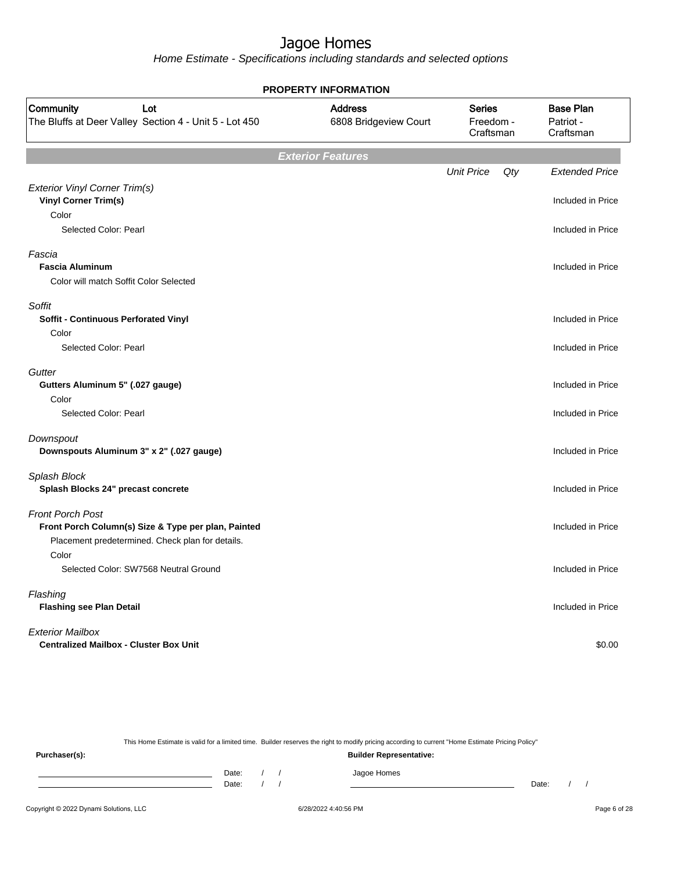Home Estimate - Specifications including standards and selected options

| <b>PROPERTY INFORMATION</b>                                                                                                        |                                         |                                         |     |                                            |  |  |  |  |
|------------------------------------------------------------------------------------------------------------------------------------|-----------------------------------------|-----------------------------------------|-----|--------------------------------------------|--|--|--|--|
| Community<br>Lot<br>The Bluffs at Deer Valley Section 4 - Unit 5 - Lot 450                                                         | <b>Address</b><br>6808 Bridgeview Court | <b>Series</b><br>Freedom -<br>Craftsman |     | <b>Base Plan</b><br>Patriot -<br>Craftsman |  |  |  |  |
|                                                                                                                                    | <b>Exterior Features</b>                |                                         |     |                                            |  |  |  |  |
| Exterior Vinyl Corner Trim(s)<br><b>Vinyl Corner Trim(s)</b>                                                                       |                                         | <b>Unit Price</b>                       | Qty | <b>Extended Price</b><br>Included in Price |  |  |  |  |
| Color<br>Selected Color: Pearl                                                                                                     |                                         |                                         |     | Included in Price                          |  |  |  |  |
| Fascia<br><b>Fascia Aluminum</b><br>Color will match Soffit Color Selected                                                         |                                         |                                         |     | Included in Price                          |  |  |  |  |
| Soffit<br>Soffit - Continuous Perforated Vinyl<br>Color                                                                            |                                         |                                         |     | Included in Price                          |  |  |  |  |
| Selected Color: Pearl                                                                                                              |                                         |                                         |     | Included in Price                          |  |  |  |  |
| Gutter<br>Gutters Aluminum 5" (.027 gauge)<br>Color<br>Selected Color: Pearl                                                       |                                         |                                         |     | Included in Price<br>Included in Price     |  |  |  |  |
| Downspout<br>Downspouts Aluminum 3" x 2" (.027 gauge)                                                                              |                                         |                                         |     | Included in Price                          |  |  |  |  |
| Splash Block<br>Splash Blocks 24" precast concrete                                                                                 |                                         |                                         |     | Included in Price                          |  |  |  |  |
| <b>Front Porch Post</b><br>Front Porch Column(s) Size & Type per plan, Painted<br>Placement predetermined. Check plan for details. |                                         |                                         |     | Included in Price                          |  |  |  |  |
| Color<br>Selected Color: SW7568 Neutral Ground                                                                                     |                                         |                                         |     | Included in Price                          |  |  |  |  |
| Flashing<br><b>Flashing see Plan Detail</b>                                                                                        |                                         |                                         |     | Included in Price                          |  |  |  |  |
| <b>Exterior Mailbox</b><br><b>Centralized Mailbox - Cluster Box Unit</b>                                                           |                                         |                                         |     | \$0.00                                     |  |  |  |  |

This Home Estimate is valid for a limited time. Builder reserves the right to modify pricing according to current "Home Estimate Pricing Policy"

**Purchaser(s): Builder Representative:** Date: / / Jagoe Homes<br>Date: / / Jagoe Homes Date: / / **Date: / / 2006** Date: / / / Date: / / / Date: / / / 2006 Date: / / / 2006 Date: / / / 2006 Date: / / / 2006 Date: / / / 2007 Date: / / / 2007 Date: / / / 2007 Date: / / / 2007 Date: / / / 2007 Date: / / / 2007 D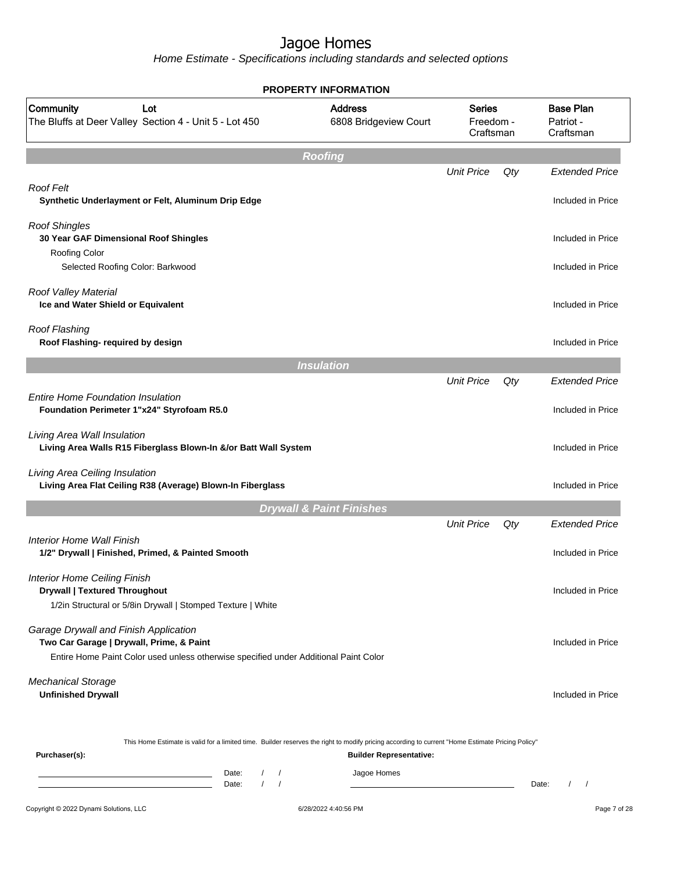|                                                                                                                                                                            | <b>PROPERTY INFORMATION</b>                                                        |                   |     |                                            |
|----------------------------------------------------------------------------------------------------------------------------------------------------------------------------|------------------------------------------------------------------------------------|-------------------|-----|--------------------------------------------|
| Community<br>Lot<br>The Bluffs at Deer Valley Section 4 - Unit 5 - Lot 450                                                                                                 | <b>Address</b><br><b>Series</b><br>6808 Bridgeview Court<br>Freedom -<br>Craftsman |                   |     | <b>Base Plan</b><br>Patriot -<br>Craftsman |
|                                                                                                                                                                            | <b>Roofing</b>                                                                     |                   |     |                                            |
| Roof Felt                                                                                                                                                                  |                                                                                    | <b>Unit Price</b> | Qty | <b>Extended Price</b>                      |
| Synthetic Underlayment or Felt, Aluminum Drip Edge                                                                                                                         |                                                                                    |                   |     | Included in Price                          |
| <b>Roof Shingles</b><br>30 Year GAF Dimensional Roof Shingles<br>Roofing Color                                                                                             |                                                                                    |                   |     | Included in Price                          |
| Selected Roofing Color: Barkwood                                                                                                                                           |                                                                                    |                   |     | Included in Price                          |
| Roof Valley Material<br>Ice and Water Shield or Equivalent                                                                                                                 |                                                                                    |                   |     | Included in Price                          |
| Roof Flashing<br>Roof Flashing- required by design                                                                                                                         |                                                                                    |                   |     | Included in Price                          |
|                                                                                                                                                                            | <b>Insulation</b>                                                                  |                   |     |                                            |
|                                                                                                                                                                            |                                                                                    | <b>Unit Price</b> | Qty | <b>Extended Price</b>                      |
| <b>Entire Home Foundation Insulation</b><br>Foundation Perimeter 1"x24" Styrofoam R5.0                                                                                     |                                                                                    |                   |     | Included in Price                          |
| Living Area Wall Insulation<br>Living Area Walls R15 Fiberglass Blown-In &/or Batt Wall System                                                                             |                                                                                    |                   |     | Included in Price                          |
| Living Area Ceiling Insulation<br>Living Area Flat Ceiling R38 (Average) Blown-In Fiberglass                                                                               |                                                                                    |                   |     | Included in Price                          |
|                                                                                                                                                                            | <b>Drywall &amp; Paint Finishes</b>                                                |                   |     |                                            |
|                                                                                                                                                                            |                                                                                    | <b>Unit Price</b> | Qty | <b>Extended Price</b>                      |
| Interior Home Wall Finish<br>1/2" Drywall   Finished, Primed, & Painted Smooth                                                                                             |                                                                                    |                   |     | Included in Price                          |
| <b>Interior Home Ceiling Finish</b><br><b>Drywall   Textured Throughout</b><br>1/2in Structural or 5/8in Drywall   Stomped Texture   White                                 |                                                                                    |                   |     | Included in Price                          |
| Garage Drywall and Finish Application<br>Two Car Garage   Drywall, Prime, & Paint                                                                                          |                                                                                    |                   |     | Included in Price                          |
| Entire Home Paint Color used unless otherwise specified under Additional Paint Color                                                                                       |                                                                                    |                   |     |                                            |
| <b>Mechanical Storage</b><br><b>Unfinished Drywall</b>                                                                                                                     |                                                                                    |                   |     | Included in Price                          |
| This Home Estimate is valid for a limited time. Builder reserves the right to modify pricing according to current "Home Estimate Pricing Policy"<br>Purchaser(s):          | <b>Builder Representative:</b>                                                     |                   |     |                                            |
| Date:<br>$\sqrt{2}$<br>$\prime$<br><u> 1989 - Johann Barn, amerikansk politiker (</u><br>$\sqrt{ }$<br>$\sqrt{ }$<br>the control of the control of the control of<br>Date: | Jagoe Homes                                                                        |                   |     | Date:<br>$\left  \right $                  |
| Copyright © 2022 Dynami Solutions, LLC                                                                                                                                     | 6/28/2022 4:40:56 PM                                                               |                   |     | Page 7 of 28                               |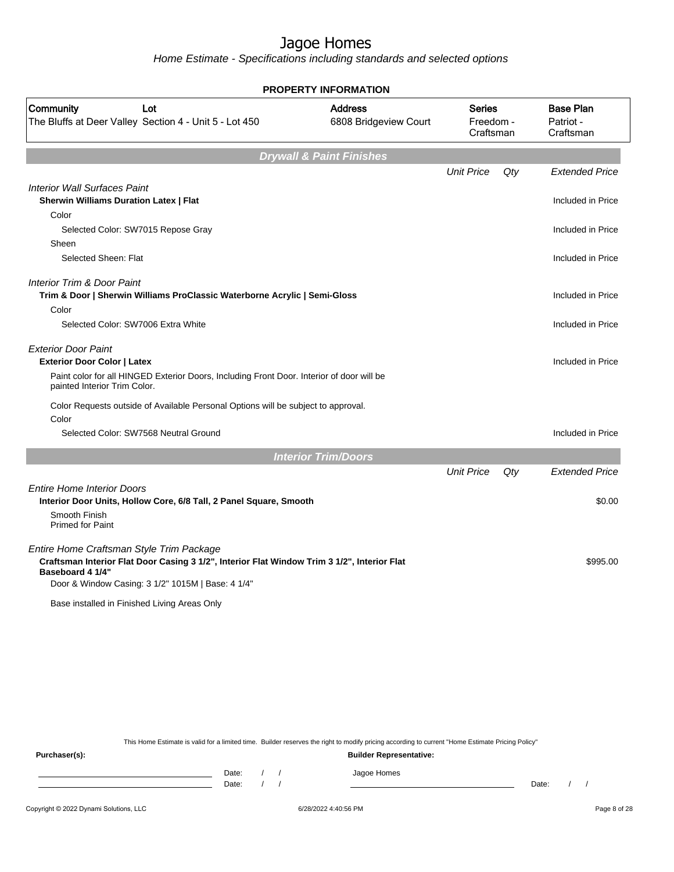Home Estimate - Specifications including standards and selected options

|                                                                                                                           | <b>PROPERTY INFORMATION</b>             |                                         |     |                                            |
|---------------------------------------------------------------------------------------------------------------------------|-----------------------------------------|-----------------------------------------|-----|--------------------------------------------|
| Community<br>Lot<br>The Bluffs at Deer Valley Section 4 - Unit 5 - Lot 450                                                | <b>Address</b><br>6808 Bridgeview Court | <b>Series</b><br>Freedom -<br>Craftsman |     | <b>Base Plan</b><br>Patriot -<br>Craftsman |
|                                                                                                                           | <b>Drywall &amp; Paint Finishes</b>     |                                         |     |                                            |
|                                                                                                                           |                                         | <b>Unit Price</b>                       | Qtv | <b>Extended Price</b>                      |
| <b>Interior Wall Surfaces Paint</b>                                                                                       |                                         |                                         |     |                                            |
| <b>Sherwin Williams Duration Latex   Flat</b>                                                                             |                                         |                                         |     | Included in Price                          |
| Color                                                                                                                     |                                         |                                         |     |                                            |
| Selected Color: SW7015 Repose Gray                                                                                        |                                         |                                         |     | Included in Price                          |
| Sheen                                                                                                                     |                                         |                                         |     |                                            |
| Selected Sheen: Flat                                                                                                      |                                         |                                         |     | Included in Price                          |
| <b>Interior Trim &amp; Door Paint</b>                                                                                     |                                         |                                         |     |                                            |
| Trim & Door   Sherwin Williams ProClassic Waterborne Acrylic   Semi-Gloss                                                 |                                         |                                         |     | Included in Price                          |
| Color                                                                                                                     |                                         |                                         |     |                                            |
| Selected Color: SW7006 Extra White                                                                                        |                                         |                                         |     | Included in Price                          |
| <b>Exterior Door Paint</b>                                                                                                |                                         |                                         |     |                                            |
| <b>Exterior Door Color   Latex</b>                                                                                        |                                         |                                         |     | Included in Price                          |
| Paint color for all HINGED Exterior Doors, Including Front Door. Interior of door will be<br>painted Interior Trim Color. |                                         |                                         |     |                                            |
| Color Requests outside of Available Personal Options will be subject to approval.                                         |                                         |                                         |     |                                            |
| Color                                                                                                                     |                                         |                                         |     |                                            |
| Selected Color: SW7568 Neutral Ground                                                                                     |                                         |                                         |     | Included in Price                          |
|                                                                                                                           | <b>Interior Trim/Doors</b>              |                                         |     |                                            |
|                                                                                                                           |                                         | <b>Unit Price</b>                       | Qty | <b>Extended Price</b>                      |
| <b>Entire Home Interior Doors</b>                                                                                         |                                         |                                         |     |                                            |
| Interior Door Units, Hollow Core, 6/8 Tall, 2 Panel Square, Smooth                                                        |                                         |                                         |     | \$0.00                                     |
| Smooth Finish                                                                                                             |                                         |                                         |     |                                            |
| <b>Primed for Paint</b>                                                                                                   |                                         |                                         |     |                                            |
| Entire Home Craftsman Style Trim Package                                                                                  |                                         |                                         |     |                                            |
| Craftsman Interior Flat Door Casing 3 1/2", Interior Flat Window Trim 3 1/2", Interior Flat                               |                                         |                                         |     | \$995.00                                   |
| Baseboard 4 1/4"                                                                                                          |                                         |                                         |     |                                            |
| Door & Window Casing: 3 1/2" 1015M   Base: 4 1/4"                                                                         |                                         |                                         |     |                                            |
| Base installed in Finished Living Areas Only                                                                              |                                         |                                         |     |                                            |

This Home Estimate is valid for a limited time. Builder reserves the right to modify pricing according to current "Home Estimate Pricing Policy"

**Purchaser(s): Builder Representative:** Date: / / Jagoe Homes<br>Date: / / Jagoe Homes Date: / / Date: / /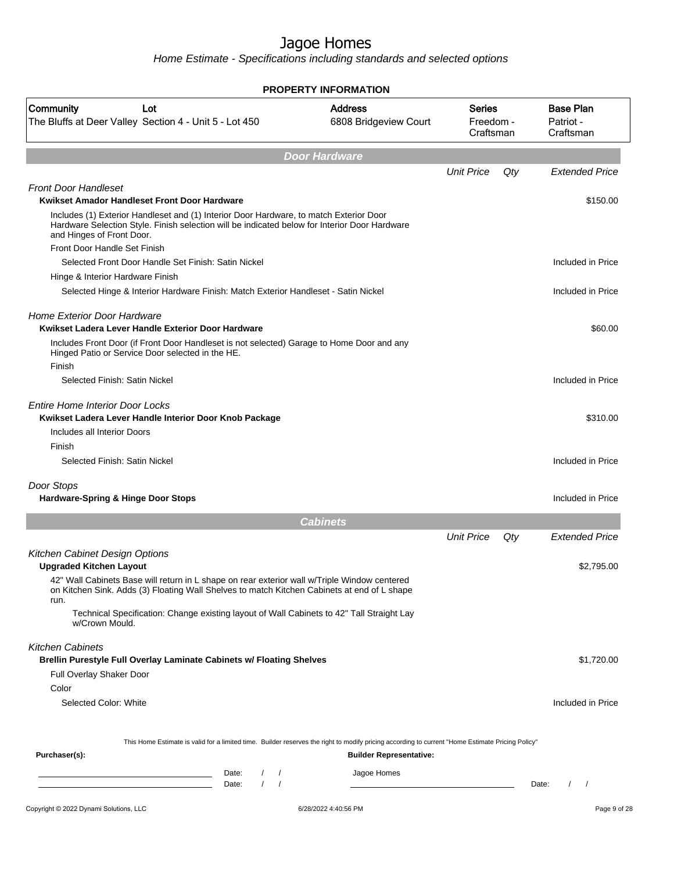| <b>Address</b><br>Community<br>Series<br>Lot<br>6808 Bridgeview Court<br>The Bluffs at Deer Valley Section 4 - Unit 5 - Lot 450<br><b>Door Hardware</b><br><b>Unit Price</b>                                         | Freedom -<br>Craftsman | <b>Base Plan</b><br>Patriot - |
|----------------------------------------------------------------------------------------------------------------------------------------------------------------------------------------------------------------------|------------------------|-------------------------------|
|                                                                                                                                                                                                                      |                        | Craftsman                     |
|                                                                                                                                                                                                                      |                        |                               |
|                                                                                                                                                                                                                      | Qty                    | <b>Extended Price</b>         |
| <b>Front Door Handleset</b><br>Kwikset Amador Handleset Front Door Hardware                                                                                                                                          |                        | \$150.00                      |
| Includes (1) Exterior Handleset and (1) Interior Door Hardware, to match Exterior Door<br>Hardware Selection Style. Finish selection will be indicated below for Interior Door Hardware<br>and Hinges of Front Door. |                        |                               |
| Front Door Handle Set Finish                                                                                                                                                                                         |                        |                               |
| Selected Front Door Handle Set Finish: Satin Nickel                                                                                                                                                                  |                        | Included in Price             |
| Hinge & Interior Hardware Finish                                                                                                                                                                                     |                        |                               |
| Selected Hinge & Interior Hardware Finish: Match Exterior Handleset - Satin Nickel                                                                                                                                   |                        | Included in Price             |
| <b>Home Exterior Door Hardware</b><br>Kwikset Ladera Lever Handle Exterior Door Hardware                                                                                                                             |                        | \$60.00                       |
| Includes Front Door (if Front Door Handleset is not selected) Garage to Home Door and any<br>Hinged Patio or Service Door selected in the HE.<br>Finish                                                              |                        |                               |
| Selected Finish: Satin Nickel                                                                                                                                                                                        |                        | Included in Price             |
| <b>Entire Home Interior Door Locks</b><br>Kwikset Ladera Lever Handle Interior Door Knob Package                                                                                                                     |                        | \$310.00                      |
| Includes all Interior Doors                                                                                                                                                                                          |                        |                               |
| Finish                                                                                                                                                                                                               |                        |                               |
| Selected Finish: Satin Nickel                                                                                                                                                                                        |                        | Included in Price             |
| Door Stops<br><b>Hardware-Spring &amp; Hinge Door Stops</b>                                                                                                                                                          |                        | Included in Price             |
| <b>Cabinets</b>                                                                                                                                                                                                      |                        |                               |
| <b>Unit Price</b>                                                                                                                                                                                                    | Qty                    | <b>Extended Price</b>         |
| Kitchen Cabinet Design Options                                                                                                                                                                                       |                        |                               |
| <b>Upgraded Kitchen Layout</b>                                                                                                                                                                                       |                        | \$2,795.00                    |
| 42" Wall Cabinets Base will return in L shape on rear exterior wall w/Triple Window centered<br>on Kitchen Sink. Adds (3) Floating Wall Shelves to match Kitchen Cabinets at end of L shape<br>run.                  |                        |                               |
| Technical Specification: Change existing layout of Wall Cabinets to 42" Tall Straight Lay<br>w/Crown Mould.                                                                                                          |                        |                               |
| <b>Kitchen Cabinets</b><br><b>Brellin Purestyle Full Overlay Laminate Cabinets w/ Floating Shelves</b>                                                                                                               |                        | \$1,720.00                    |
| Full Overlay Shaker Door                                                                                                                                                                                             |                        |                               |
| Color                                                                                                                                                                                                                |                        |                               |
| Selected Color: White                                                                                                                                                                                                |                        | Included in Price             |
|                                                                                                                                                                                                                      |                        |                               |
| This Home Estimate is valid for a limited time. Builder reserves the right to modify pricing according to current "Home Estimate Pricing Policy"<br>Purchaser(s):<br><b>Builder Representative:</b>                  |                        |                               |
|                                                                                                                                                                                                                      |                        |                               |
| Jagoe Homes<br>Date:<br>$\frac{1}{2}$<br>the control of the control of the control of the control of the control of<br>$\frac{1}{2}$<br>Date:                                                                        |                        | $\frac{1}{2}$<br>Date:        |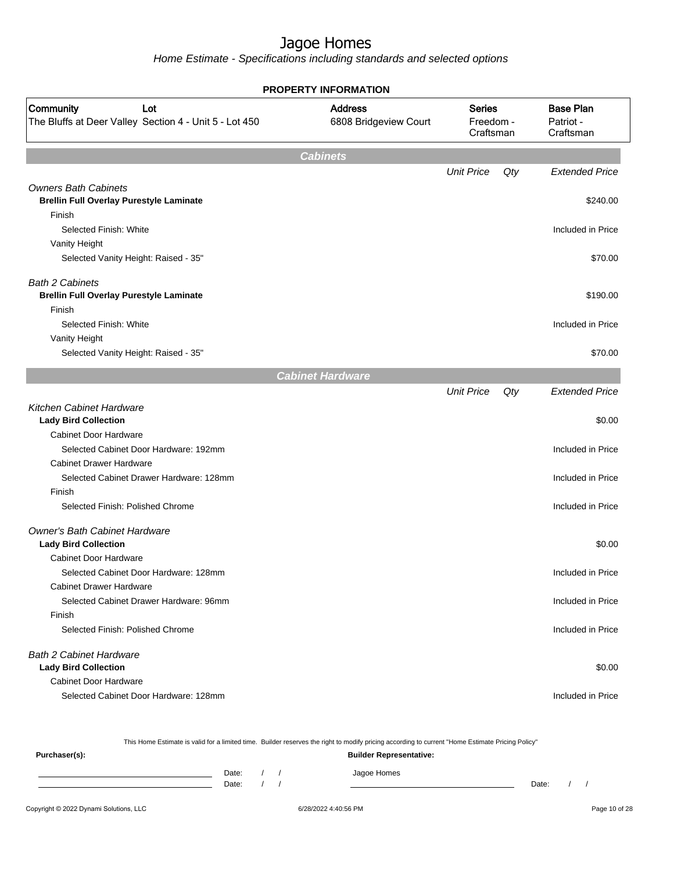Home Estimate - Specifications including standards and selected options

| <b>PROPERTY INFORMATION</b>                                                |                                         |                                         |     |                                            |  |  |  |  |
|----------------------------------------------------------------------------|-----------------------------------------|-----------------------------------------|-----|--------------------------------------------|--|--|--|--|
| Community<br>Lot<br>The Bluffs at Deer Valley Section 4 - Unit 5 - Lot 450 | <b>Address</b><br>6808 Bridgeview Court | <b>Series</b><br>Freedom -<br>Craftsman |     | <b>Base Plan</b><br>Patriot -<br>Craftsman |  |  |  |  |
|                                                                            | <b>Cabinets</b>                         |                                         |     |                                            |  |  |  |  |
|                                                                            |                                         | <b>Unit Price</b>                       | Qty | <b>Extended Price</b>                      |  |  |  |  |
| <b>Owners Bath Cabinets</b>                                                |                                         |                                         |     |                                            |  |  |  |  |
| <b>Brellin Full Overlay Purestyle Laminate</b>                             |                                         |                                         |     | \$240.00                                   |  |  |  |  |
| Finish                                                                     |                                         |                                         |     |                                            |  |  |  |  |
| Selected Finish: White                                                     |                                         |                                         |     | Included in Price                          |  |  |  |  |
| Vanity Height                                                              |                                         |                                         |     |                                            |  |  |  |  |
| Selected Vanity Height: Raised - 35"                                       |                                         |                                         |     | \$70.00                                    |  |  |  |  |
| <b>Bath 2 Cabinets</b>                                                     |                                         |                                         |     |                                            |  |  |  |  |
| <b>Brellin Full Overlay Purestyle Laminate</b>                             |                                         |                                         |     | \$190.00                                   |  |  |  |  |
| Finish                                                                     |                                         |                                         |     |                                            |  |  |  |  |
| Selected Finish: White                                                     |                                         |                                         |     | Included in Price                          |  |  |  |  |
| Vanity Height                                                              |                                         |                                         |     |                                            |  |  |  |  |
| Selected Vanity Height: Raised - 35"                                       |                                         |                                         |     | \$70.00                                    |  |  |  |  |
|                                                                            | <b>Cabinet Hardware</b>                 |                                         |     |                                            |  |  |  |  |
|                                                                            |                                         | <b>Unit Price</b>                       | Qty | <b>Extended Price</b>                      |  |  |  |  |
| <b>Kitchen Cabinet Hardware</b><br><b>Lady Bird Collection</b>             |                                         |                                         |     | \$0.00                                     |  |  |  |  |
| <b>Cabinet Door Hardware</b>                                               |                                         |                                         |     |                                            |  |  |  |  |
| Selected Cabinet Door Hardware: 192mm                                      |                                         |                                         |     | Included in Price                          |  |  |  |  |
| <b>Cabinet Drawer Hardware</b>                                             |                                         |                                         |     |                                            |  |  |  |  |
| Selected Cabinet Drawer Hardware: 128mm                                    |                                         |                                         |     | Included in Price                          |  |  |  |  |
| Finish                                                                     |                                         |                                         |     |                                            |  |  |  |  |
| Selected Finish: Polished Chrome                                           |                                         |                                         |     | Included in Price                          |  |  |  |  |
| <b>Owner's Bath Cabinet Hardware</b>                                       |                                         |                                         |     |                                            |  |  |  |  |
| <b>Lady Bird Collection</b>                                                |                                         |                                         |     | \$0.00                                     |  |  |  |  |
| <b>Cabinet Door Hardware</b>                                               |                                         |                                         |     |                                            |  |  |  |  |
| Selected Cabinet Door Hardware: 128mm                                      |                                         |                                         |     | Included in Price                          |  |  |  |  |
| <b>Cabinet Drawer Hardware</b><br>Selected Cabinet Drawer Hardware: 96mm   |                                         |                                         |     | Included in Price                          |  |  |  |  |
| Finish                                                                     |                                         |                                         |     |                                            |  |  |  |  |
| Selected Finish: Polished Chrome                                           |                                         |                                         |     | Included in Price                          |  |  |  |  |
| <b>Bath 2 Cabinet Hardware</b>                                             |                                         |                                         |     |                                            |  |  |  |  |
| <b>Lady Bird Collection</b>                                                |                                         |                                         |     | \$0.00                                     |  |  |  |  |
| <b>Cabinet Door Hardware</b>                                               |                                         |                                         |     |                                            |  |  |  |  |
| Selected Cabinet Door Hardware: 128mm                                      |                                         |                                         |     | Included in Price                          |  |  |  |  |
|                                                                            |                                         |                                         |     |                                            |  |  |  |  |

This Home Estimate is valid for a limited time. Builder reserves the right to modify pricing according to current "Home Estimate Pricing Policy"

| Purchaser(s): |                |  | ______<br>________<br>_________<br><b>Builder Representative:</b> |       |  |
|---------------|----------------|--|-------------------------------------------------------------------|-------|--|
|               | Date:<br>Date: |  | Jagoe Homes                                                       | Date: |  |
|               |                |  |                                                                   |       |  |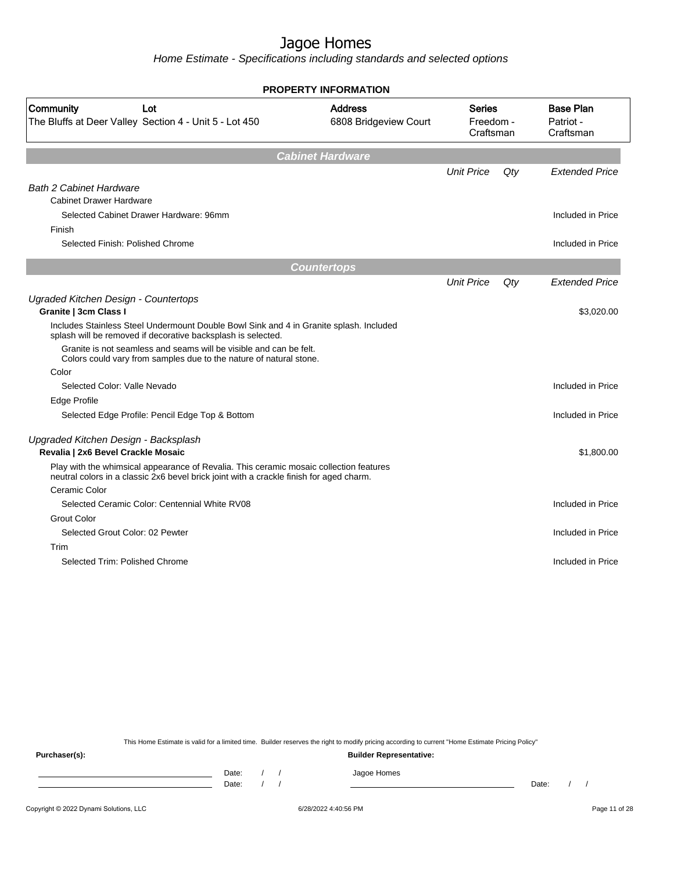Home Estimate - Specifications including standards and selected options

| <b>Base Plan</b><br>Community<br><b>Address</b><br><b>Series</b><br>Lot<br>The Bluffs at Deer Valley Section 4 - Unit 5 - Lot 450<br>6808 Bridgeview Court<br>Freedom -<br>Patriot -<br>Craftsman<br>Craftsman<br><b>Cabinet Hardware</b><br><b>Unit Price</b><br>$Q$ ty<br><b>Extended Price</b><br><b>Bath 2 Cabinet Hardware</b><br><b>Cabinet Drawer Hardware</b><br>Selected Cabinet Drawer Hardware: 96mm<br>Included in Price<br>Finish<br>Selected Finish: Polished Chrome<br>Included in Price<br><b>Countertops</b><br><b>Unit Price</b><br>$Q$ ty<br><b>Extended Price</b><br>Ugraded Kitchen Design - Countertops<br>Granite   3cm Class I<br>\$3,020.00<br>Includes Stainless Steel Undermount Double Bowl Sink and 4 in Granite splash. Included<br>splash will be removed if decorative backsplash is selected.<br>Granite is not seamless and seams will be visible and can be felt.<br>Colors could vary from samples due to the nature of natural stone.<br>Color<br>Selected Color: Valle Nevado<br>Included in Price<br>Edge Profile<br>Selected Edge Profile: Pencil Edge Top & Bottom<br>Included in Price<br>Upgraded Kitchen Design - Backsplash<br>Revalia   2x6 Bevel Crackle Mosaic<br>\$1,800.00<br>Play with the whimsical appearance of Revalia. This ceramic mosaic collection features<br>neutral colors in a classic 2x6 bevel brick joint with a crackle finish for aged charm.<br>Ceramic Color<br>Selected Ceramic Color: Centennial White RV08<br>Included in Price<br><b>Grout Color</b><br>Selected Grout Color: 02 Pewter<br>Included in Price<br>Trim<br>Selected Trim: Polished Chrome<br>Included in Price | <b>PROPERTY INFORMATION</b> |  |  |  |
|-------------------------------------------------------------------------------------------------------------------------------------------------------------------------------------------------------------------------------------------------------------------------------------------------------------------------------------------------------------------------------------------------------------------------------------------------------------------------------------------------------------------------------------------------------------------------------------------------------------------------------------------------------------------------------------------------------------------------------------------------------------------------------------------------------------------------------------------------------------------------------------------------------------------------------------------------------------------------------------------------------------------------------------------------------------------------------------------------------------------------------------------------------------------------------------------------------------------------------------------------------------------------------------------------------------------------------------------------------------------------------------------------------------------------------------------------------------------------------------------------------------------------------------------------------------------------------------------------------------------------------------------------------|-----------------------------|--|--|--|
|                                                                                                                                                                                                                                                                                                                                                                                                                                                                                                                                                                                                                                                                                                                                                                                                                                                                                                                                                                                                                                                                                                                                                                                                                                                                                                                                                                                                                                                                                                                                                                                                                                                       |                             |  |  |  |
|                                                                                                                                                                                                                                                                                                                                                                                                                                                                                                                                                                                                                                                                                                                                                                                                                                                                                                                                                                                                                                                                                                                                                                                                                                                                                                                                                                                                                                                                                                                                                                                                                                                       |                             |  |  |  |
|                                                                                                                                                                                                                                                                                                                                                                                                                                                                                                                                                                                                                                                                                                                                                                                                                                                                                                                                                                                                                                                                                                                                                                                                                                                                                                                                                                                                                                                                                                                                                                                                                                                       |                             |  |  |  |
|                                                                                                                                                                                                                                                                                                                                                                                                                                                                                                                                                                                                                                                                                                                                                                                                                                                                                                                                                                                                                                                                                                                                                                                                                                                                                                                                                                                                                                                                                                                                                                                                                                                       |                             |  |  |  |
|                                                                                                                                                                                                                                                                                                                                                                                                                                                                                                                                                                                                                                                                                                                                                                                                                                                                                                                                                                                                                                                                                                                                                                                                                                                                                                                                                                                                                                                                                                                                                                                                                                                       |                             |  |  |  |
|                                                                                                                                                                                                                                                                                                                                                                                                                                                                                                                                                                                                                                                                                                                                                                                                                                                                                                                                                                                                                                                                                                                                                                                                                                                                                                                                                                                                                                                                                                                                                                                                                                                       |                             |  |  |  |
|                                                                                                                                                                                                                                                                                                                                                                                                                                                                                                                                                                                                                                                                                                                                                                                                                                                                                                                                                                                                                                                                                                                                                                                                                                                                                                                                                                                                                                                                                                                                                                                                                                                       |                             |  |  |  |
|                                                                                                                                                                                                                                                                                                                                                                                                                                                                                                                                                                                                                                                                                                                                                                                                                                                                                                                                                                                                                                                                                                                                                                                                                                                                                                                                                                                                                                                                                                                                                                                                                                                       |                             |  |  |  |
|                                                                                                                                                                                                                                                                                                                                                                                                                                                                                                                                                                                                                                                                                                                                                                                                                                                                                                                                                                                                                                                                                                                                                                                                                                                                                                                                                                                                                                                                                                                                                                                                                                                       |                             |  |  |  |
|                                                                                                                                                                                                                                                                                                                                                                                                                                                                                                                                                                                                                                                                                                                                                                                                                                                                                                                                                                                                                                                                                                                                                                                                                                                                                                                                                                                                                                                                                                                                                                                                                                                       |                             |  |  |  |
|                                                                                                                                                                                                                                                                                                                                                                                                                                                                                                                                                                                                                                                                                                                                                                                                                                                                                                                                                                                                                                                                                                                                                                                                                                                                                                                                                                                                                                                                                                                                                                                                                                                       |                             |  |  |  |
|                                                                                                                                                                                                                                                                                                                                                                                                                                                                                                                                                                                                                                                                                                                                                                                                                                                                                                                                                                                                                                                                                                                                                                                                                                                                                                                                                                                                                                                                                                                                                                                                                                                       |                             |  |  |  |
|                                                                                                                                                                                                                                                                                                                                                                                                                                                                                                                                                                                                                                                                                                                                                                                                                                                                                                                                                                                                                                                                                                                                                                                                                                                                                                                                                                                                                                                                                                                                                                                                                                                       |                             |  |  |  |
|                                                                                                                                                                                                                                                                                                                                                                                                                                                                                                                                                                                                                                                                                                                                                                                                                                                                                                                                                                                                                                                                                                                                                                                                                                                                                                                                                                                                                                                                                                                                                                                                                                                       |                             |  |  |  |
|                                                                                                                                                                                                                                                                                                                                                                                                                                                                                                                                                                                                                                                                                                                                                                                                                                                                                                                                                                                                                                                                                                                                                                                                                                                                                                                                                                                                                                                                                                                                                                                                                                                       |                             |  |  |  |
|                                                                                                                                                                                                                                                                                                                                                                                                                                                                                                                                                                                                                                                                                                                                                                                                                                                                                                                                                                                                                                                                                                                                                                                                                                                                                                                                                                                                                                                                                                                                                                                                                                                       |                             |  |  |  |
|                                                                                                                                                                                                                                                                                                                                                                                                                                                                                                                                                                                                                                                                                                                                                                                                                                                                                                                                                                                                                                                                                                                                                                                                                                                                                                                                                                                                                                                                                                                                                                                                                                                       |                             |  |  |  |
|                                                                                                                                                                                                                                                                                                                                                                                                                                                                                                                                                                                                                                                                                                                                                                                                                                                                                                                                                                                                                                                                                                                                                                                                                                                                                                                                                                                                                                                                                                                                                                                                                                                       |                             |  |  |  |
|                                                                                                                                                                                                                                                                                                                                                                                                                                                                                                                                                                                                                                                                                                                                                                                                                                                                                                                                                                                                                                                                                                                                                                                                                                                                                                                                                                                                                                                                                                                                                                                                                                                       |                             |  |  |  |
|                                                                                                                                                                                                                                                                                                                                                                                                                                                                                                                                                                                                                                                                                                                                                                                                                                                                                                                                                                                                                                                                                                                                                                                                                                                                                                                                                                                                                                                                                                                                                                                                                                                       |                             |  |  |  |
|                                                                                                                                                                                                                                                                                                                                                                                                                                                                                                                                                                                                                                                                                                                                                                                                                                                                                                                                                                                                                                                                                                                                                                                                                                                                                                                                                                                                                                                                                                                                                                                                                                                       |                             |  |  |  |
|                                                                                                                                                                                                                                                                                                                                                                                                                                                                                                                                                                                                                                                                                                                                                                                                                                                                                                                                                                                                                                                                                                                                                                                                                                                                                                                                                                                                                                                                                                                                                                                                                                                       |                             |  |  |  |
|                                                                                                                                                                                                                                                                                                                                                                                                                                                                                                                                                                                                                                                                                                                                                                                                                                                                                                                                                                                                                                                                                                                                                                                                                                                                                                                                                                                                                                                                                                                                                                                                                                                       |                             |  |  |  |
|                                                                                                                                                                                                                                                                                                                                                                                                                                                                                                                                                                                                                                                                                                                                                                                                                                                                                                                                                                                                                                                                                                                                                                                                                                                                                                                                                                                                                                                                                                                                                                                                                                                       |                             |  |  |  |
|                                                                                                                                                                                                                                                                                                                                                                                                                                                                                                                                                                                                                                                                                                                                                                                                                                                                                                                                                                                                                                                                                                                                                                                                                                                                                                                                                                                                                                                                                                                                                                                                                                                       |                             |  |  |  |
|                                                                                                                                                                                                                                                                                                                                                                                                                                                                                                                                                                                                                                                                                                                                                                                                                                                                                                                                                                                                                                                                                                                                                                                                                                                                                                                                                                                                                                                                                                                                                                                                                                                       |                             |  |  |  |
|                                                                                                                                                                                                                                                                                                                                                                                                                                                                                                                                                                                                                                                                                                                                                                                                                                                                                                                                                                                                                                                                                                                                                                                                                                                                                                                                                                                                                                                                                                                                                                                                                                                       |                             |  |  |  |

This Home Estimate is valid for a limited time. Builder reserves the right to modify pricing according to current "Home Estimate Pricing Policy"

| Purchaser(s): |                |  | <b>Builder Representative:</b> |       |  |
|---------------|----------------|--|--------------------------------|-------|--|
|               | Date:<br>Date: |  | Jagoe Homes                    | Date: |  |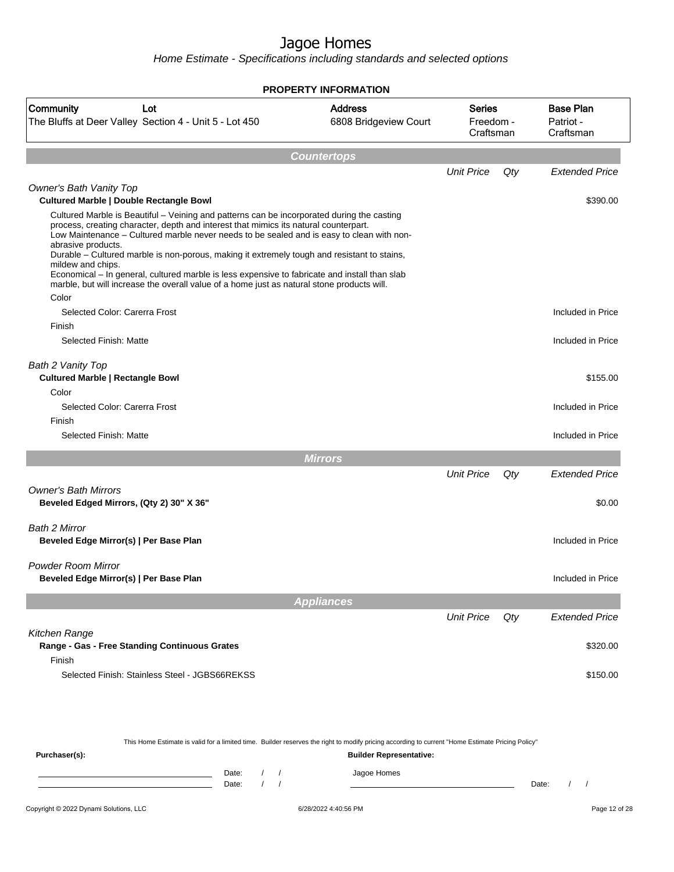|                                                                                                                                                                                                                                                                                                                                                                                                                                                                                                                                                                                                                                   | <b>PROPERTY INFORMATION</b>             |                                         |     |                                            |
|-----------------------------------------------------------------------------------------------------------------------------------------------------------------------------------------------------------------------------------------------------------------------------------------------------------------------------------------------------------------------------------------------------------------------------------------------------------------------------------------------------------------------------------------------------------------------------------------------------------------------------------|-----------------------------------------|-----------------------------------------|-----|--------------------------------------------|
| Community<br>Lot<br>The Bluffs at Deer Valley Section 4 - Unit 5 - Lot 450                                                                                                                                                                                                                                                                                                                                                                                                                                                                                                                                                        | <b>Address</b><br>6808 Bridgeview Court | <b>Series</b><br>Freedom -<br>Craftsman |     | <b>Base Plan</b><br>Patriot -<br>Craftsman |
|                                                                                                                                                                                                                                                                                                                                                                                                                                                                                                                                                                                                                                   | <b>Countertops</b>                      |                                         |     |                                            |
|                                                                                                                                                                                                                                                                                                                                                                                                                                                                                                                                                                                                                                   |                                         | <b>Unit Price</b>                       | Qty | <b>Extended Price</b>                      |
| <b>Owner's Bath Vanity Top</b>                                                                                                                                                                                                                                                                                                                                                                                                                                                                                                                                                                                                    |                                         |                                         |     |                                            |
| <b>Cultured Marble   Double Rectangle Bowl</b>                                                                                                                                                                                                                                                                                                                                                                                                                                                                                                                                                                                    |                                         |                                         |     | \$390.00                                   |
| Cultured Marble is Beautiful – Veining and patterns can be incorporated during the casting<br>process, creating character, depth and interest that mimics its natural counterpart.<br>Low Maintenance - Cultured marble never needs to be sealed and is easy to clean with non-<br>abrasive products.<br>Durable - Cultured marble is non-porous, making it extremely tough and resistant to stains,<br>mildew and chips.<br>Economical - In general, cultured marble is less expensive to fabricate and install than slab<br>marble, but will increase the overall value of a home just as natural stone products will.<br>Color |                                         |                                         |     |                                            |
| Selected Color: Carerra Frost                                                                                                                                                                                                                                                                                                                                                                                                                                                                                                                                                                                                     |                                         |                                         |     | Included in Price                          |
| Finish                                                                                                                                                                                                                                                                                                                                                                                                                                                                                                                                                                                                                            |                                         |                                         |     |                                            |
| Selected Finish: Matte                                                                                                                                                                                                                                                                                                                                                                                                                                                                                                                                                                                                            |                                         |                                         |     | Included in Price                          |
| Bath 2 Vanity Top<br><b>Cultured Marble   Rectangle Bowl</b>                                                                                                                                                                                                                                                                                                                                                                                                                                                                                                                                                                      |                                         |                                         |     | \$155.00                                   |
| Color<br>Selected Color: Carerra Frost                                                                                                                                                                                                                                                                                                                                                                                                                                                                                                                                                                                            |                                         |                                         |     | Included in Price                          |
| Finish                                                                                                                                                                                                                                                                                                                                                                                                                                                                                                                                                                                                                            |                                         |                                         |     |                                            |
| Selected Finish: Matte                                                                                                                                                                                                                                                                                                                                                                                                                                                                                                                                                                                                            |                                         |                                         |     | Included in Price                          |
|                                                                                                                                                                                                                                                                                                                                                                                                                                                                                                                                                                                                                                   | <b>Mirrors</b>                          |                                         |     |                                            |
|                                                                                                                                                                                                                                                                                                                                                                                                                                                                                                                                                                                                                                   |                                         | <b>Unit Price</b>                       | Qty | <b>Extended Price</b>                      |
| <b>Owner's Bath Mirrors</b>                                                                                                                                                                                                                                                                                                                                                                                                                                                                                                                                                                                                       |                                         |                                         |     |                                            |
| Beveled Edged Mirrors, (Qty 2) 30" X 36"                                                                                                                                                                                                                                                                                                                                                                                                                                                                                                                                                                                          |                                         |                                         |     | \$0.00                                     |
|                                                                                                                                                                                                                                                                                                                                                                                                                                                                                                                                                                                                                                   |                                         |                                         |     |                                            |
| <b>Bath 2 Mirror</b><br>Beveled Edge Mirror(s)   Per Base Plan                                                                                                                                                                                                                                                                                                                                                                                                                                                                                                                                                                    |                                         |                                         |     | Included in Price                          |
| <b>Powder Room Mirror</b>                                                                                                                                                                                                                                                                                                                                                                                                                                                                                                                                                                                                         |                                         |                                         |     |                                            |
| Beveled Edge Mirror(s)   Per Base Plan                                                                                                                                                                                                                                                                                                                                                                                                                                                                                                                                                                                            |                                         |                                         |     | Included in Price                          |
|                                                                                                                                                                                                                                                                                                                                                                                                                                                                                                                                                                                                                                   | <b>Appliances</b>                       |                                         |     |                                            |
|                                                                                                                                                                                                                                                                                                                                                                                                                                                                                                                                                                                                                                   |                                         | <b>Unit Price</b>                       | Qty | <b>Extended Price</b>                      |
| Kitchen Range                                                                                                                                                                                                                                                                                                                                                                                                                                                                                                                                                                                                                     |                                         |                                         |     |                                            |
| Range - Gas - Free Standing Continuous Grates                                                                                                                                                                                                                                                                                                                                                                                                                                                                                                                                                                                     |                                         |                                         |     | \$320.00                                   |
| Finish                                                                                                                                                                                                                                                                                                                                                                                                                                                                                                                                                                                                                            |                                         |                                         |     |                                            |
| Selected Finish: Stainless Steel - JGBS66REKSS                                                                                                                                                                                                                                                                                                                                                                                                                                                                                                                                                                                    |                                         |                                         |     | \$150.00                                   |
|                                                                                                                                                                                                                                                                                                                                                                                                                                                                                                                                                                                                                                   |                                         |                                         |     |                                            |

| This Home Estimate is valid for a limited time. Builder reserves the right to modify pricing according to current "Home Estimate Pricing Policy" |       |  |  |  |                                |       |  |  |  |
|--------------------------------------------------------------------------------------------------------------------------------------------------|-------|--|--|--|--------------------------------|-------|--|--|--|
| Purchaser(s):                                                                                                                                    |       |  |  |  | <b>Builder Representative:</b> |       |  |  |  |
|                                                                                                                                                  | Date: |  |  |  | Jagoe Homes                    |       |  |  |  |
|                                                                                                                                                  | Date: |  |  |  |                                | Date: |  |  |  |
|                                                                                                                                                  |       |  |  |  |                                |       |  |  |  |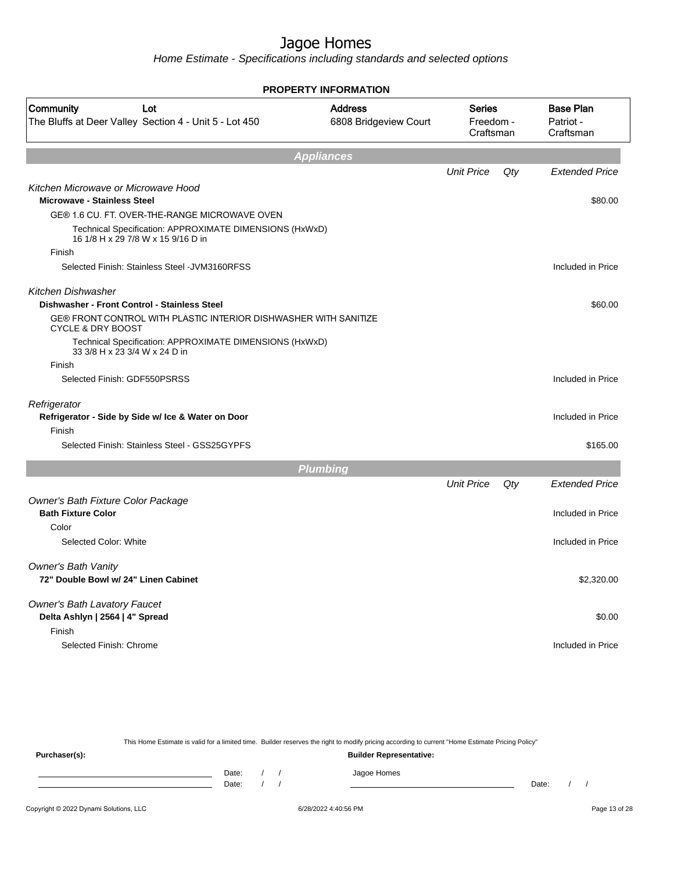Home Estimate - Specifications including standards and selected options

|                                                                                                  | <b>PROPERTY INFORMATION</b>             |                                         |     |                                            |
|--------------------------------------------------------------------------------------------------|-----------------------------------------|-----------------------------------------|-----|--------------------------------------------|
| Community<br>Lot<br>The Bluffs at Deer Valley Section 4 - Unit 5 - Lot 450                       | <b>Address</b><br>6808 Bridgeview Court | <b>Series</b><br>Freedom -<br>Craftsman |     | <b>Base Plan</b><br>Patriot -<br>Craftsman |
|                                                                                                  | <b>Appliances</b>                       |                                         |     |                                            |
|                                                                                                  |                                         | <b>Unit Price</b>                       | Qty | <b>Extended Price</b>                      |
| Kitchen Microwave or Microwave Hood<br><b>Microwave - Stainless Steel</b>                        |                                         |                                         |     | \$80.00                                    |
| GE® 1.6 CU. FT. OVER-THE-RANGE MICROWAVE OVEN                                                    |                                         |                                         |     |                                            |
| Technical Specification: APPROXIMATE DIMENSIONS (HxWxD)<br>16 1/8 H x 29 7/8 W x 15 9/16 D in    |                                         |                                         |     |                                            |
| Finish                                                                                           |                                         |                                         |     |                                            |
| Selected Finish: Stainless Steel - JVM3160RFSS                                                   |                                         |                                         |     | Included in Price                          |
| Kitchen Dishwasher                                                                               |                                         |                                         |     |                                            |
| Dishwasher - Front Control - Stainless Steel                                                     |                                         |                                         |     | \$60.00                                    |
| GE® FRONT CONTROL WITH PLASTIC INTERIOR DISHWASHER WITH SANITIZE<br><b>CYCLE &amp; DRY BOOST</b> |                                         |                                         |     |                                            |
| Technical Specification: APPROXIMATE DIMENSIONS (HxWxD)<br>33 3/8 H x 23 3/4 W x 24 D in         |                                         |                                         |     |                                            |
| Finish                                                                                           |                                         |                                         |     |                                            |
| Selected Finish: GDF550PSRSS                                                                     |                                         |                                         |     | Included in Price                          |
| Refrigerator                                                                                     |                                         |                                         |     |                                            |
| Refrigerator - Side by Side w/ Ice & Water on Door                                               |                                         |                                         |     | Included in Price                          |
| Finish                                                                                           |                                         |                                         |     |                                            |
| Selected Finish: Stainless Steel - GSS25GYPFS                                                    |                                         |                                         |     | \$165.00                                   |
|                                                                                                  | <b>Plumbing</b>                         |                                         |     |                                            |
|                                                                                                  |                                         | <b>Unit Price</b>                       | Qty | <b>Extended Price</b>                      |
| Owner's Bath Fixture Color Package                                                               |                                         |                                         |     |                                            |
| <b>Bath Fixture Color</b>                                                                        |                                         |                                         |     | Included in Price                          |
| Color                                                                                            |                                         |                                         |     |                                            |
| Selected Color: White                                                                            |                                         |                                         |     | Included in Price                          |
| <b>Owner's Bath Vanity</b>                                                                       |                                         |                                         |     |                                            |
| 72" Double Bowl w/ 24" Linen Cabinet                                                             |                                         |                                         |     | \$2,320.00                                 |
| <b>Owner's Bath Lavatory Faucet</b>                                                              |                                         |                                         |     |                                            |
| Delta Ashlyn   2564   4" Spread                                                                  |                                         |                                         |     | \$0.00                                     |
| Finish                                                                                           |                                         |                                         |     |                                            |
| Selected Finish: Chrome                                                                          |                                         |                                         |     | Included in Price                          |
|                                                                                                  |                                         |                                         |     |                                            |
|                                                                                                  |                                         |                                         |     |                                            |

This Home Estimate is valid for a limited time. Builder reserves the right to modify pricing according to current "Home Estimate Pricing Policy"

**Purchaser(s): Builder Representative:** Date: / / Jagoe Homes<br>Date: / / Jagoe Homes Date: / / **Date: / / 2006** Date: / / / Date: / / / Date: / / / 2006 Date: / / / 2006 Date: / / / 2006 Date: / / / 2006 Date: / / / 2007 Date: / / / 2007 Date: / / / 2007 Date: / / / 2007 Date: / / / 2007 Date: / / / 2007 D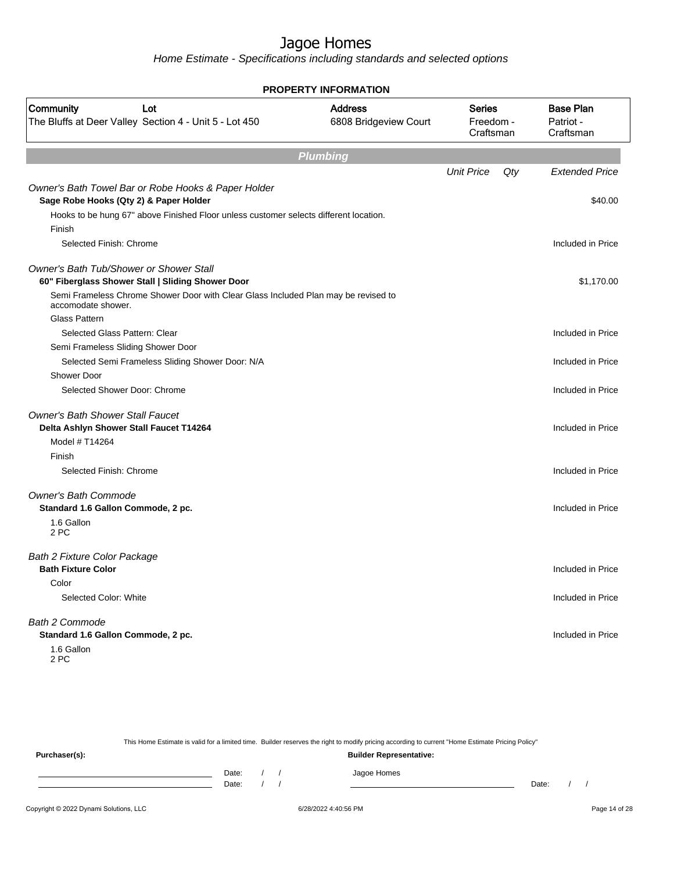Home Estimate - Specifications including standards and selected options

| <b>PROPERTY INFORMATION</b>                                                                              |                                         |                                  |     |                                            |  |  |  |  |
|----------------------------------------------------------------------------------------------------------|-----------------------------------------|----------------------------------|-----|--------------------------------------------|--|--|--|--|
| <b>Community</b><br>Lot<br>The Bluffs at Deer Valley Section 4 - Unit 5 - Lot 450                        | <b>Address</b><br>6808 Bridgeview Court | Series<br>Freedom -<br>Craftsman |     | <b>Base Plan</b><br>Patriot -<br>Craftsman |  |  |  |  |
|                                                                                                          | <b>Plumbing</b>                         |                                  |     |                                            |  |  |  |  |
|                                                                                                          |                                         | <b>Unit Price</b>                | Qty | <b>Extended Price</b>                      |  |  |  |  |
| Owner's Bath Towel Bar or Robe Hooks & Paper Holder<br>Sage Robe Hooks (Qty 2) & Paper Holder            |                                         |                                  |     | \$40.00                                    |  |  |  |  |
| Hooks to be hung 67" above Finished Floor unless customer selects different location.                    |                                         |                                  |     |                                            |  |  |  |  |
| Finish                                                                                                   |                                         |                                  |     |                                            |  |  |  |  |
| Selected Finish: Chrome                                                                                  |                                         |                                  |     | Included in Price                          |  |  |  |  |
| <b>Owner's Bath Tub/Shower or Shower Stall</b>                                                           |                                         |                                  |     |                                            |  |  |  |  |
| 60" Fiberglass Shower Stall   Sliding Shower Door                                                        |                                         |                                  |     | \$1,170.00                                 |  |  |  |  |
| Semi Frameless Chrome Shower Door with Clear Glass Included Plan may be revised to<br>accomodate shower. |                                         |                                  |     |                                            |  |  |  |  |
| <b>Glass Pattern</b>                                                                                     |                                         |                                  |     |                                            |  |  |  |  |
| Selected Glass Pattern: Clear                                                                            |                                         |                                  |     | Included in Price                          |  |  |  |  |
| Semi Frameless Sliding Shower Door                                                                       |                                         |                                  |     |                                            |  |  |  |  |
| Selected Semi Frameless Sliding Shower Door: N/A                                                         |                                         |                                  |     | Included in Price                          |  |  |  |  |
| <b>Shower Door</b>                                                                                       |                                         |                                  |     |                                            |  |  |  |  |
| Selected Shower Door: Chrome                                                                             |                                         |                                  |     | Included in Price                          |  |  |  |  |
| <b>Owner's Bath Shower Stall Faucet</b>                                                                  |                                         |                                  |     |                                            |  |  |  |  |
| Delta Ashlyn Shower Stall Faucet T14264                                                                  |                                         |                                  |     | Included in Price                          |  |  |  |  |
| Model # T14264                                                                                           |                                         |                                  |     |                                            |  |  |  |  |
| Finish                                                                                                   |                                         |                                  |     |                                            |  |  |  |  |
| Selected Finish: Chrome                                                                                  |                                         |                                  |     | Included in Price                          |  |  |  |  |
| <b>Owner's Bath Commode</b>                                                                              |                                         |                                  |     |                                            |  |  |  |  |
| Standard 1.6 Gallon Commode, 2 pc.                                                                       |                                         |                                  |     | Included in Price                          |  |  |  |  |
| 1.6 Gallon<br>2 PC                                                                                       |                                         |                                  |     |                                            |  |  |  |  |
| Bath 2 Fixture Color Package                                                                             |                                         |                                  |     |                                            |  |  |  |  |
| <b>Bath Fixture Color</b>                                                                                |                                         |                                  |     | Included in Price                          |  |  |  |  |
| Color                                                                                                    |                                         |                                  |     |                                            |  |  |  |  |
| Selected Color: White                                                                                    |                                         |                                  |     | Included in Price                          |  |  |  |  |
| <b>Bath 2 Commode</b>                                                                                    |                                         |                                  |     |                                            |  |  |  |  |
| Standard 1.6 Gallon Commode, 2 pc.                                                                       |                                         |                                  |     | Included in Price                          |  |  |  |  |
| 1.6 Gallon<br>2 PC                                                                                       |                                         |                                  |     |                                            |  |  |  |  |

This Home Estimate is valid for a limited time. Builder reserves the right to modify pricing according to current "Home Estimate Pricing Policy"

**Purchaser(s): Builder Representative:** Date: / / Jagoe Homes<br>Date: / / Jagoe Homes Date: / / Date: / /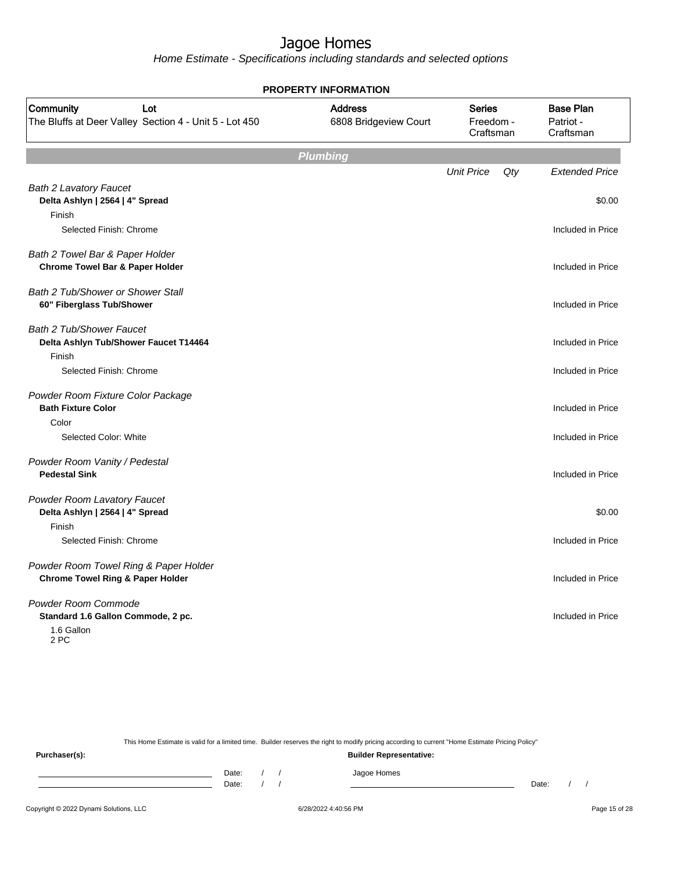Home Estimate - Specifications including standards and selected options

| <b>PROPERTY INFORMATION</b>                                                          |                                         |                                         |     |                                            |  |
|--------------------------------------------------------------------------------------|-----------------------------------------|-----------------------------------------|-----|--------------------------------------------|--|
| Community<br>Lot<br>The Bluffs at Deer Valley Section 4 - Unit 5 - Lot 450           | <b>Address</b><br>6808 Bridgeview Court | <b>Series</b><br>Freedom -<br>Craftsman |     | <b>Base Plan</b><br>Patriot -<br>Craftsman |  |
|                                                                                      | <b>Plumbing</b>                         |                                         |     |                                            |  |
|                                                                                      |                                         | <b>Unit Price</b>                       | Qty | <b>Extended Price</b>                      |  |
| <b>Bath 2 Lavatory Faucet</b><br>Delta Ashlyn   2564   4" Spread                     |                                         |                                         |     | \$0.00                                     |  |
| Finish<br>Selected Finish: Chrome                                                    |                                         |                                         |     | Included in Price                          |  |
| Bath 2 Towel Bar & Paper Holder<br><b>Chrome Towel Bar &amp; Paper Holder</b>        |                                         |                                         |     | Included in Price                          |  |
| <b>Bath 2 Tub/Shower or Shower Stall</b><br>60" Fiberglass Tub/Shower                |                                         |                                         |     | Included in Price                          |  |
| <b>Bath 2 Tub/Shower Faucet</b><br>Delta Ashlyn Tub/Shower Faucet T14464             |                                         |                                         |     | Included in Price                          |  |
| Finish<br>Selected Finish: Chrome                                                    |                                         |                                         |     | Included in Price                          |  |
| Powder Room Fixture Color Package<br><b>Bath Fixture Color</b><br>Color              |                                         |                                         |     | Included in Price                          |  |
| Selected Color: White                                                                |                                         |                                         |     | Included in Price                          |  |
| Powder Room Vanity / Pedestal<br><b>Pedestal Sink</b>                                |                                         |                                         |     | Included in Price                          |  |
| Powder Room Lavatory Faucet<br>Delta Ashlyn   2564   4" Spread<br>Finish             |                                         |                                         |     | \$0.00                                     |  |
| Selected Finish: Chrome                                                              |                                         |                                         |     | Included in Price                          |  |
| Powder Room Towel Ring & Paper Holder<br><b>Chrome Towel Ring &amp; Paper Holder</b> |                                         |                                         |     | Included in Price                          |  |
| Powder Room Commode<br>Standard 1.6 Gallon Commode, 2 pc.<br>1.6 Gallon<br>2 PC      |                                         |                                         |     | Included in Price                          |  |

This Home Estimate is valid for a limited time. Builder reserves the right to modify pricing according to current "Home Estimate Pricing Policy" **Purchaser(s): Builder Representative:** Date: / / Jagoe Homes<br>Date: / / Jagoe Homes Date: / / **Date: / / 2006** Date: / / / Date: / / / Date: / / / 2006 Date: / / / 2006 Date: / / / 2006 Date: / / / 2006 Date: / / / 2007 Date: / / / 2007 Date: / / / 2007 Date: / / / 2007 Date: / / / 2007 Date: / / / 2007 D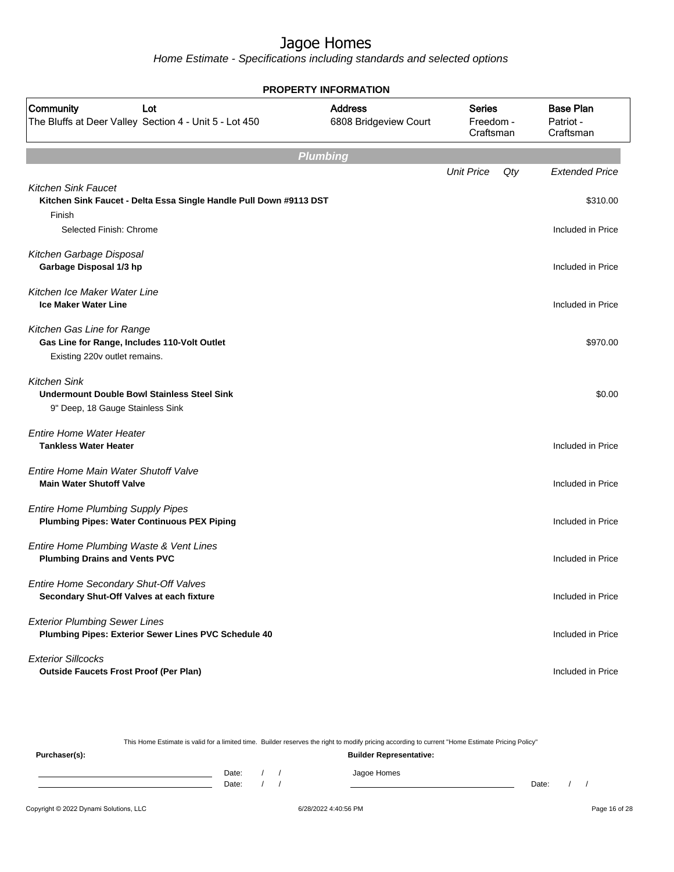Home Estimate - Specifications including standards and selected options

| <b>PROPERTY INFORMATION</b>                                                                                   |                                         |                                         |     |                                            |  |  |  |
|---------------------------------------------------------------------------------------------------------------|-----------------------------------------|-----------------------------------------|-----|--------------------------------------------|--|--|--|
| Community<br>Lot<br>The Bluffs at Deer Valley Section 4 - Unit 5 - Lot 450                                    | <b>Address</b><br>6808 Bridgeview Court | <b>Series</b><br>Freedom -<br>Craftsman |     | <b>Base Plan</b><br>Patriot -<br>Craftsman |  |  |  |
| <b>Plumbing</b>                                                                                               |                                         |                                         |     |                                            |  |  |  |
|                                                                                                               |                                         | <b>Unit Price</b>                       | Qty | <b>Extended Price</b>                      |  |  |  |
| <b>Kitchen Sink Faucet</b><br>Kitchen Sink Faucet - Delta Essa Single Handle Pull Down #9113 DST              |                                         |                                         |     | \$310.00                                   |  |  |  |
| Finish<br>Selected Finish: Chrome                                                                             |                                         |                                         |     | Included in Price                          |  |  |  |
| Kitchen Garbage Disposal<br>Garbage Disposal 1/3 hp                                                           |                                         |                                         |     | Included in Price                          |  |  |  |
| Kitchen Ice Maker Water Line<br><b>Ice Maker Water Line</b>                                                   |                                         |                                         |     | Included in Price                          |  |  |  |
| Kitchen Gas Line for Range<br>Gas Line for Range, Includes 110-Volt Outlet<br>Existing 220v outlet remains.   |                                         |                                         |     | \$970.00                                   |  |  |  |
| <b>Kitchen Sink</b><br><b>Undermount Double Bowl Stainless Steel Sink</b><br>9" Deep, 18 Gauge Stainless Sink |                                         |                                         |     | \$0.00                                     |  |  |  |
| <b>Entire Home Water Heater</b><br><b>Tankless Water Heater</b>                                               |                                         |                                         |     | Included in Price                          |  |  |  |
| Entire Home Main Water Shutoff Valve<br><b>Main Water Shutoff Valve</b>                                       |                                         |                                         |     | Included in Price                          |  |  |  |
| <b>Entire Home Plumbing Supply Pipes</b><br><b>Plumbing Pipes: Water Continuous PEX Piping</b>                |                                         |                                         |     | Included in Price                          |  |  |  |
| Entire Home Plumbing Waste & Vent Lines<br><b>Plumbing Drains and Vents PVC</b>                               |                                         |                                         |     | Included in Price                          |  |  |  |
| Entire Home Secondary Shut-Off Valves<br>Secondary Shut-Off Valves at each fixture                            |                                         |                                         |     | Included in Price                          |  |  |  |
| <b>Exterior Plumbing Sewer Lines</b><br>Plumbing Pipes: Exterior Sewer Lines PVC Schedule 40                  |                                         |                                         |     | Included in Price                          |  |  |  |
| <b>Exterior Sillcocks</b><br><b>Outside Faucets Frost Proof (Per Plan)</b>                                    |                                         |                                         |     | Included in Price                          |  |  |  |

This Home Estimate is valid for a limited time. Builder reserves the right to modify pricing according to current "Home Estimate Pricing Policy" **Purchaser(s): Builder Representative:** Date: / / Jagoe Homes<br>Date: / / Jagoe Homes Date: / / **Date: / / 2006** Date: / / / Date: / / / Date: / / / 2006 Date: / / / 2006 Date: / / / 2006 Date: / / / 2006 Date: / / / 2007 Date: / / / 2007 Date: / / / 2007 Date: / / / 2007 Date: / / / 2007 Date: / / / 2007 D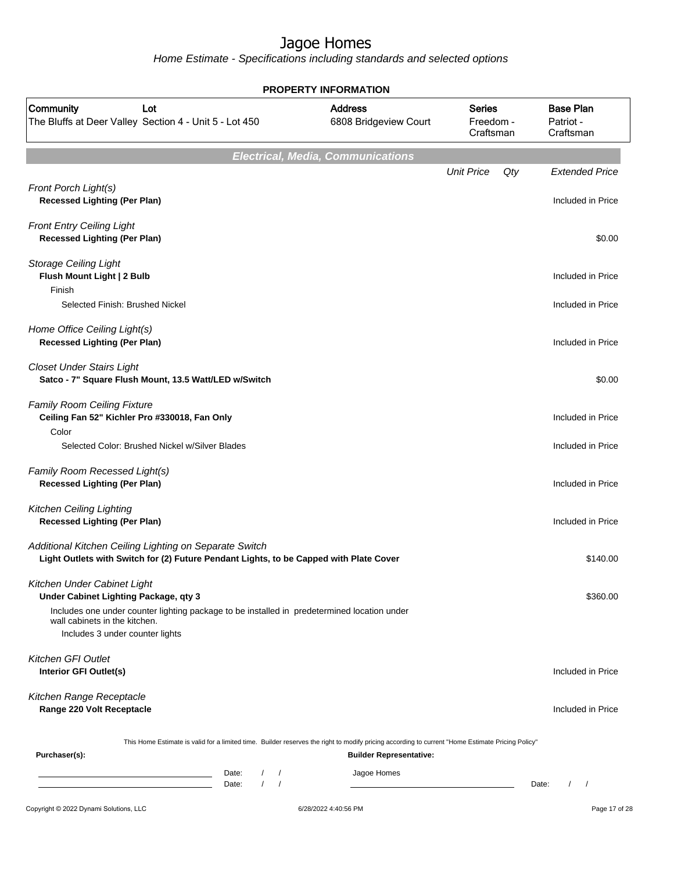|                                                                                                                                                                 | <b>PROPERTY INFORMATION</b>              |                                         |                                            |
|-----------------------------------------------------------------------------------------------------------------------------------------------------------------|------------------------------------------|-----------------------------------------|--------------------------------------------|
| Community<br>Lot<br>The Bluffs at Deer Valley Section 4 - Unit 5 - Lot 450                                                                                      | <b>Address</b><br>6808 Bridgeview Court  | <b>Series</b><br>Freedom -<br>Craftsman | <b>Base Plan</b><br>Patriot -<br>Craftsman |
|                                                                                                                                                                 | <b>Electrical, Media, Communications</b> |                                         |                                            |
|                                                                                                                                                                 |                                          | <b>Unit Price</b><br>Qty                | <b>Extended Price</b>                      |
| Front Porch Light(s)<br><b>Recessed Lighting (Per Plan)</b>                                                                                                     |                                          |                                         | Included in Price                          |
| <b>Front Entry Ceiling Light</b><br><b>Recessed Lighting (Per Plan)</b>                                                                                         |                                          |                                         | \$0.00                                     |
| <b>Storage Ceiling Light</b><br>Flush Mount Light   2 Bulb                                                                                                      |                                          |                                         | Included in Price                          |
| Finish<br>Selected Finish: Brushed Nickel                                                                                                                       |                                          |                                         | Included in Price                          |
| Home Office Ceiling Light(s)<br><b>Recessed Lighting (Per Plan)</b>                                                                                             |                                          |                                         | Included in Price                          |
| <b>Closet Under Stairs Light</b><br>Satco - 7" Square Flush Mount, 13.5 Watt/LED w/Switch                                                                       |                                          |                                         | \$0.00                                     |
| <b>Family Room Ceiling Fixture</b><br>Ceiling Fan 52" Kichler Pro #330018, Fan Only<br>Color                                                                    |                                          |                                         | Included in Price                          |
| Selected Color: Brushed Nickel w/Silver Blades                                                                                                                  |                                          |                                         | Included in Price                          |
| Family Room Recessed Light(s)<br><b>Recessed Lighting (Per Plan)</b>                                                                                            |                                          |                                         | Included in Price                          |
| Kitchen Ceiling Lighting<br><b>Recessed Lighting (Per Plan)</b>                                                                                                 |                                          |                                         | Included in Price                          |
| Additional Kitchen Ceiling Lighting on Separate Switch<br>Light Outlets with Switch for (2) Future Pendant Lights, to be Capped with Plate Cover                |                                          |                                         | \$140.00                                   |
| Kitchen Under Cabinet Light<br>Under Cabinet Lighting Package, qty 3                                                                                            |                                          |                                         | \$360.00                                   |
| Includes one under counter lighting package to be installed in predetermined location under<br>wall cabinets in the kitchen.<br>Includes 3 under counter lights |                                          |                                         |                                            |
| Kitchen GFI Outlet<br>Interior GFI Outlet(s)                                                                                                                    |                                          |                                         | Included in Price                          |
| Kitchen Range Receptacle<br>Range 220 Volt Receptacle                                                                                                           |                                          |                                         | Included in Price                          |
| This Home Estimate is valid for a limited time. Builder reserves the right to modify pricing according to current "Home Estimate Pricing Policy"                |                                          |                                         |                                            |
| Purchaser(s):                                                                                                                                                   | <b>Builder Representative:</b>           |                                         |                                            |
| Date:<br>$\sqrt{2}$<br>$\prime$<br>$\sqrt{ }$<br>Date:                                                                                                          | Jagoe Homes                              |                                         | Date:<br>$\prime$<br>$\sqrt{2}$            |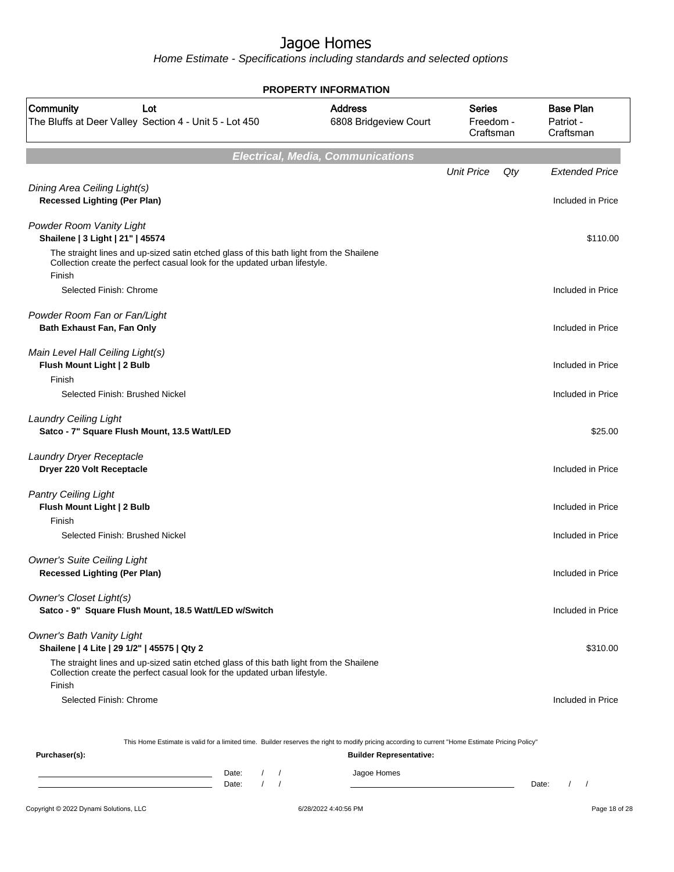| <b>PROPERTY INFORMATION</b>                                                                                                                                                     |                                          |                                         |                                            |  |  |
|---------------------------------------------------------------------------------------------------------------------------------------------------------------------------------|------------------------------------------|-----------------------------------------|--------------------------------------------|--|--|
| Community<br>Lot<br>The Bluffs at Deer Valley Section 4 - Unit 5 - Lot 450                                                                                                      | <b>Address</b><br>6808 Bridgeview Court  | <b>Series</b><br>Freedom -<br>Craftsman | <b>Base Plan</b><br>Patriot -<br>Craftsman |  |  |
|                                                                                                                                                                                 | <b>Electrical, Media, Communications</b> |                                         |                                            |  |  |
| Dining Area Ceiling Light(s)<br><b>Recessed Lighting (Per Plan)</b>                                                                                                             |                                          | <b>Unit Price</b><br>Qty                | <b>Extended Price</b><br>Included in Price |  |  |
| Powder Room Vanity Light<br>Shailene   3 Light   21"   45574                                                                                                                    |                                          |                                         | \$110.00                                   |  |  |
| The straight lines and up-sized satin etched glass of this bath light from the Shailene<br>Collection create the perfect casual look for the updated urban lifestyle.<br>Finish |                                          |                                         |                                            |  |  |
| Selected Finish: Chrome                                                                                                                                                         |                                          |                                         | Included in Price                          |  |  |
| Powder Room Fan or Fan/Light<br>Bath Exhaust Fan, Fan Only                                                                                                                      |                                          |                                         | Included in Price                          |  |  |
| Main Level Hall Ceiling Light(s)<br>Flush Mount Light   2 Bulb<br>Finish                                                                                                        |                                          |                                         | Included in Price                          |  |  |
| Selected Finish: Brushed Nickel                                                                                                                                                 |                                          |                                         | Included in Price                          |  |  |
| <b>Laundry Ceiling Light</b><br>Satco - 7" Square Flush Mount, 13.5 Watt/LED                                                                                                    |                                          |                                         | \$25.00                                    |  |  |
| Laundry Dryer Receptacle<br>Dryer 220 Volt Receptacle                                                                                                                           |                                          |                                         | Included in Price                          |  |  |
| <b>Pantry Ceiling Light</b><br>Flush Mount Light   2 Bulb                                                                                                                       |                                          |                                         | Included in Price                          |  |  |
| Finish<br>Selected Finish: Brushed Nickel                                                                                                                                       |                                          |                                         | Included in Price                          |  |  |
| <b>Owner's Suite Ceiling Light</b><br><b>Recessed Lighting (Per Plan)</b>                                                                                                       |                                          |                                         | Included in Price                          |  |  |
| <b>Owner's Closet Light(s)</b><br>Satco - 9" Square Flush Mount, 18.5 Watt/LED w/Switch                                                                                         |                                          |                                         | Included in Price                          |  |  |
| <b>Owner's Bath Vanity Light</b><br>Shailene   4 Lite   29 1/2"   45575   Qty 2                                                                                                 |                                          |                                         | \$310.00                                   |  |  |
| The straight lines and up-sized satin etched glass of this bath light from the Shailene<br>Collection create the perfect casual look for the updated urban lifestyle.<br>Finish |                                          |                                         |                                            |  |  |
| Selected Finish: Chrome                                                                                                                                                         |                                          |                                         | Included in Price                          |  |  |
| This Home Estimate is valid for a limited time. Builder reserves the right to modify pricing according to current "Home Estimate Pricing Policy"                                |                                          |                                         |                                            |  |  |
| Purchaser(s):                                                                                                                                                                   | <b>Builder Representative:</b>           |                                         |                                            |  |  |
| Date:<br>$\sqrt{2}$<br>the control of the control of the control of the control of the control of<br>$1 \quad 1$<br>Date:                                                       | Jagoe Homes                              |                                         | $\frac{1}{2}$<br>Date:                     |  |  |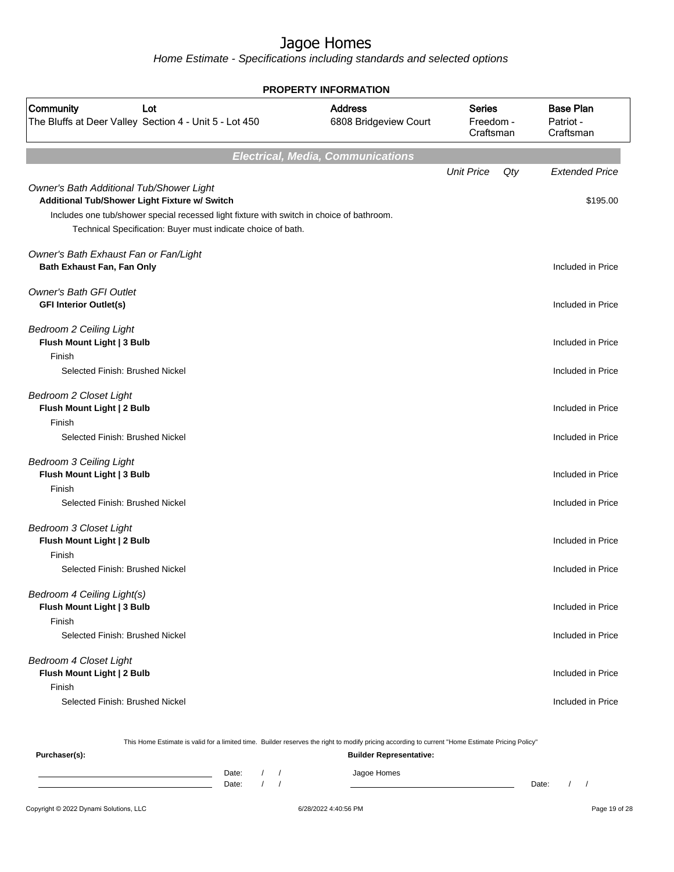Home Estimate - Specifications including standards and selected options

| <b>PROPERTY INFORMATION</b>                                                               |                                                                                                                                                           |                                          |                                         |     |                                            |
|-------------------------------------------------------------------------------------------|-----------------------------------------------------------------------------------------------------------------------------------------------------------|------------------------------------------|-----------------------------------------|-----|--------------------------------------------|
| Community<br>The Bluffs at Deer Valley Section 4 - Unit 5 - Lot 450                       | Lot                                                                                                                                                       | <b>Address</b><br>6808 Bridgeview Court  | <b>Series</b><br>Freedom -<br>Craftsman |     | <b>Base Plan</b><br>Patriot -<br>Craftsman |
|                                                                                           |                                                                                                                                                           | <b>Electrical, Media, Communications</b> |                                         |     |                                            |
| Owner's Bath Additional Tub/Shower Light<br>Additional Tub/Shower Light Fixture w/ Switch |                                                                                                                                                           |                                          | <b>Unit Price</b>                       | Qty | <b>Extended Price</b><br>\$195.00          |
|                                                                                           | Includes one tub/shower special recessed light fixture with switch in choice of bathroom.<br>Technical Specification: Buyer must indicate choice of bath. |                                          |                                         |     |                                            |
| Owner's Bath Exhaust Fan or Fan/Light<br>Bath Exhaust Fan, Fan Only                       |                                                                                                                                                           |                                          |                                         |     | Included in Price                          |
| <b>Owner's Bath GFI Outlet</b><br><b>GFI Interior Outlet(s)</b>                           |                                                                                                                                                           |                                          |                                         |     | Included in Price                          |
| <b>Bedroom 2 Ceiling Light</b><br>Flush Mount Light   3 Bulb<br>Finish                    |                                                                                                                                                           |                                          |                                         |     | Included in Price                          |
| Selected Finish: Brushed Nickel                                                           |                                                                                                                                                           |                                          |                                         |     | Included in Price                          |
| <b>Bedroom 2 Closet Light</b><br>Flush Mount Light   2 Bulb<br>Finish                     |                                                                                                                                                           |                                          |                                         |     | Included in Price                          |
| Selected Finish: Brushed Nickel                                                           |                                                                                                                                                           |                                          |                                         |     | Included in Price                          |
| <b>Bedroom 3 Ceiling Light</b><br>Flush Mount Light   3 Bulb<br>Finish                    |                                                                                                                                                           |                                          |                                         |     | Included in Price                          |
| Selected Finish: Brushed Nickel                                                           |                                                                                                                                                           |                                          |                                         |     | Included in Price                          |
| <b>Bedroom 3 Closet Light</b><br>Flush Mount Light   2 Bulb<br>Finish                     |                                                                                                                                                           |                                          |                                         |     | Included in Price                          |
| Selected Finish: Brushed Nickel                                                           |                                                                                                                                                           |                                          |                                         |     | Included in Price                          |
| Bedroom 4 Ceiling Light(s)<br>Flush Mount Light   3 Bulb<br>Finish                        |                                                                                                                                                           |                                          |                                         |     | Included in Price                          |
| Selected Finish: Brushed Nickel                                                           |                                                                                                                                                           |                                          |                                         |     | Included in Price                          |
| <b>Bedroom 4 Closet Light</b><br>Flush Mount Light   2 Bulb<br>Finish                     |                                                                                                                                                           |                                          |                                         |     | Included in Price                          |
| Selected Finish: Brushed Nickel                                                           |                                                                                                                                                           |                                          |                                         |     | Included in Price                          |

This Home Estimate is valid for a limited time. Builder reserves the right to modify pricing according to current "Home Estimate Pricing Policy"

**Purchaser(s): Builder Representative:** Date: / / Jagoe Homes<br>Date: / / Jagoe Homes Date: / / **Date: / / 2006** Date: / / / Date: / / / Date: / / / 2006 Date: / / / 2006 Date: / / / 2006 Date: / / / 2006 Date: / / / 2007 Date: / / / 2007 Date: / / / 2007 Date: / / / 2007 Date: / / / 2007 Date: / / / 2007 D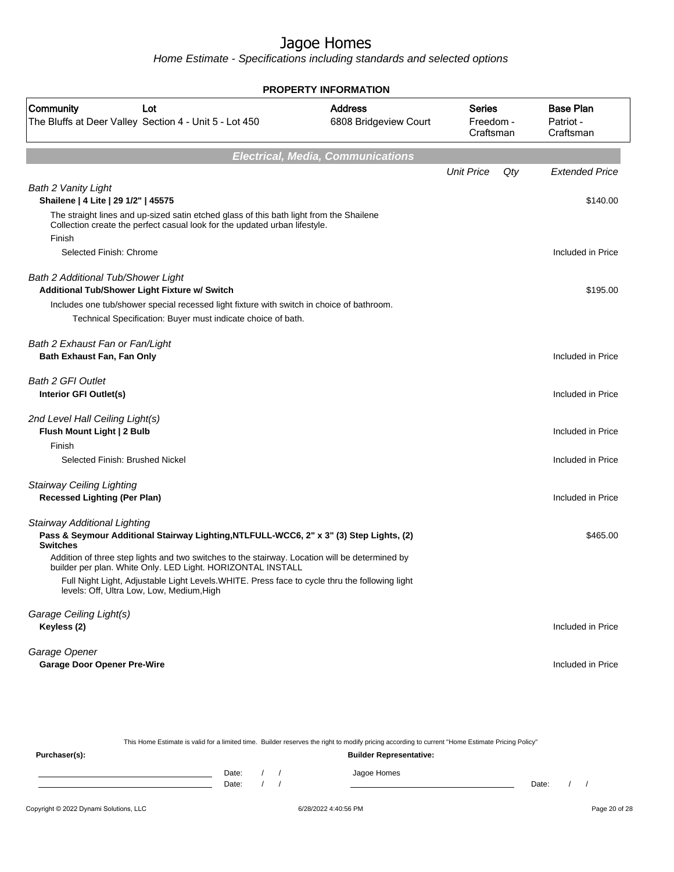Home Estimate - Specifications including standards and selected options

| <b>PROPERTY INFORMATION</b>                                                                                                                                                     |                                          |                                  |     |                                            |  |
|---------------------------------------------------------------------------------------------------------------------------------------------------------------------------------|------------------------------------------|----------------------------------|-----|--------------------------------------------|--|
| Community<br>Lot<br>The Bluffs at Deer Valley Section 4 - Unit 5 - Lot 450                                                                                                      | <b>Address</b><br>6808 Bridgeview Court  | Series<br>Freedom -<br>Craftsman |     | <b>Base Plan</b><br>Patriot -<br>Craftsman |  |
|                                                                                                                                                                                 | <b>Electrical, Media, Communications</b> |                                  |     |                                            |  |
|                                                                                                                                                                                 |                                          | <b>Unit Price</b>                | Qty | <b>Extended Price</b>                      |  |
| <b>Bath 2 Vanity Light</b><br>Shailene   4 Lite   29 1/2"   45575                                                                                                               |                                          |                                  |     | \$140.00                                   |  |
| The straight lines and up-sized satin etched glass of this bath light from the Shailene<br>Collection create the perfect casual look for the updated urban lifestyle.<br>Finish |                                          |                                  |     |                                            |  |
| Selected Finish: Chrome                                                                                                                                                         |                                          |                                  |     | Included in Price                          |  |
| Bath 2 Additional Tub/Shower Light<br>Additional Tub/Shower Light Fixture w/ Switch                                                                                             |                                          |                                  |     | \$195.00                                   |  |
| Includes one tub/shower special recessed light fixture with switch in choice of bathroom.<br>Technical Specification: Buyer must indicate choice of bath.                       |                                          |                                  |     |                                            |  |
|                                                                                                                                                                                 |                                          |                                  |     |                                            |  |
| Bath 2 Exhaust Fan or Fan/Light<br>Bath Exhaust Fan, Fan Only                                                                                                                   |                                          |                                  |     | Included in Price                          |  |
| <b>Bath 2 GFI Outlet</b><br>Interior GFI Outlet(s)                                                                                                                              |                                          |                                  |     | Included in Price                          |  |
| 2nd Level Hall Ceiling Light(s)<br>Flush Mount Light   2 Bulb<br>Finish                                                                                                         |                                          |                                  |     | Included in Price                          |  |
| Selected Finish: Brushed Nickel                                                                                                                                                 |                                          |                                  |     | Included in Price                          |  |
|                                                                                                                                                                                 |                                          |                                  |     |                                            |  |
| <b>Stairway Ceiling Lighting</b><br><b>Recessed Lighting (Per Plan)</b>                                                                                                         |                                          |                                  |     | Included in Price                          |  |
| Stairway Additional Lighting<br>Pass & Seymour Additional Stairway Lighting, NTLFULL-WCC6, 2" x 3" (3) Step Lights, (2)<br><b>Switches</b>                                      |                                          |                                  |     | \$465.00                                   |  |
| Addition of three step lights and two switches to the stairway. Location will be determined by<br>builder per plan. White Only. LED Light. HORIZONTAL INSTALL                   |                                          |                                  |     |                                            |  |
| Full Night Light, Adjustable Light Levels. WHITE. Press face to cycle thru the following light<br>levels: Off, Ultra Low, Low, Medium, High                                     |                                          |                                  |     |                                            |  |
| Garage Ceiling Light(s)<br>Keyless (2)                                                                                                                                          |                                          |                                  |     | Included in Price                          |  |
| Garage Opener<br><b>Garage Door Opener Pre-Wire</b>                                                                                                                             |                                          |                                  |     | Included in Price                          |  |

This Home Estimate is valid for a limited time. Builder reserves the right to modify pricing according to current "Home Estimate Pricing Policy" **Purchaser(s): Builder Representative:**

| Date: |  | Jagoe Homes |       |  |
|-------|--|-------------|-------|--|
| Date: |  |             | Date: |  |
|       |  |             |       |  |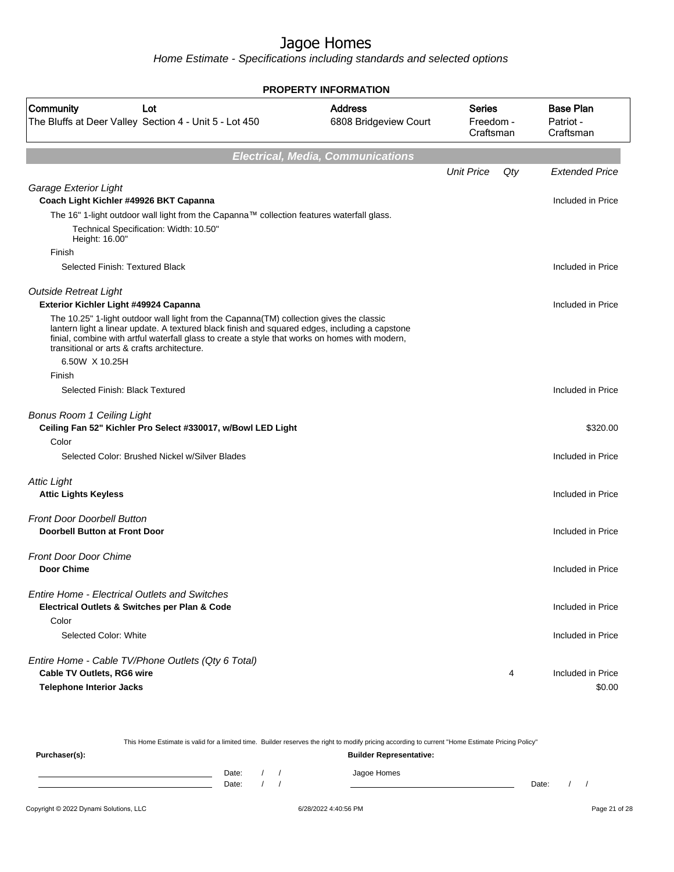Home Estimate - Specifications including standards and selected options

| <b>PROPERTY INFORMATION</b>                                                                                                                                                                                                                                                                                                                 |                                                                                    |                   |                                            |                       |  |
|---------------------------------------------------------------------------------------------------------------------------------------------------------------------------------------------------------------------------------------------------------------------------------------------------------------------------------------------|------------------------------------------------------------------------------------|-------------------|--------------------------------------------|-----------------------|--|
| Community<br>Lot<br>The Bluffs at Deer Valley Section 4 - Unit 5 - Lot 450                                                                                                                                                                                                                                                                  | <b>Address</b><br><b>Series</b><br>6808 Bridgeview Court<br>Freedom -<br>Craftsman |                   | <b>Base Plan</b><br>Patriot -<br>Craftsman |                       |  |
|                                                                                                                                                                                                                                                                                                                                             | <b>Electrical, Media, Communications</b>                                           |                   |                                            |                       |  |
|                                                                                                                                                                                                                                                                                                                                             |                                                                                    | <b>Unit Price</b> | Qty                                        | <b>Extended Price</b> |  |
| Garage Exterior Light                                                                                                                                                                                                                                                                                                                       |                                                                                    |                   |                                            |                       |  |
| Coach Light Kichler #49926 BKT Capanna                                                                                                                                                                                                                                                                                                      |                                                                                    |                   |                                            | Included in Price     |  |
| The 16" 1-light outdoor wall light from the Capanna™ collection features waterfall glass.                                                                                                                                                                                                                                                   |                                                                                    |                   |                                            |                       |  |
| Technical Specification: Width: 10.50"<br>Height: 16.00"                                                                                                                                                                                                                                                                                    |                                                                                    |                   |                                            |                       |  |
| Finish                                                                                                                                                                                                                                                                                                                                      |                                                                                    |                   |                                            |                       |  |
| Selected Finish: Textured Black                                                                                                                                                                                                                                                                                                             |                                                                                    |                   |                                            | Included in Price     |  |
| <b>Outside Retreat Light</b>                                                                                                                                                                                                                                                                                                                |                                                                                    |                   |                                            |                       |  |
| Exterior Kichler Light #49924 Capanna                                                                                                                                                                                                                                                                                                       |                                                                                    |                   |                                            | Included in Price     |  |
| The 10.25" 1-light outdoor wall light from the Capanna (TM) collection gives the classic<br>lantern light a linear update. A textured black finish and squared edges, including a capstone<br>finial, combine with artful waterfall glass to create a style that works on homes with modern,<br>transitional or arts & crafts architecture. |                                                                                    |                   |                                            |                       |  |
| 6.50W X 10.25H                                                                                                                                                                                                                                                                                                                              |                                                                                    |                   |                                            |                       |  |
| Finish                                                                                                                                                                                                                                                                                                                                      |                                                                                    |                   |                                            |                       |  |
| Selected Finish: Black Textured                                                                                                                                                                                                                                                                                                             |                                                                                    |                   |                                            | Included in Price     |  |
| <b>Bonus Room 1 Ceiling Light</b><br>Ceiling Fan 52" Kichler Pro Select #330017, w/Bowl LED Light                                                                                                                                                                                                                                           |                                                                                    |                   |                                            | \$320.00              |  |
| Color                                                                                                                                                                                                                                                                                                                                       |                                                                                    |                   |                                            |                       |  |
| Selected Color: Brushed Nickel w/Silver Blades                                                                                                                                                                                                                                                                                              |                                                                                    |                   |                                            | Included in Price     |  |
| <b>Attic Light</b>                                                                                                                                                                                                                                                                                                                          |                                                                                    |                   |                                            |                       |  |
| <b>Attic Lights Keyless</b>                                                                                                                                                                                                                                                                                                                 |                                                                                    |                   |                                            | Included in Price     |  |
| <b>Front Door Doorbell Button</b>                                                                                                                                                                                                                                                                                                           |                                                                                    |                   |                                            |                       |  |
| Doorbell Button at Front Door                                                                                                                                                                                                                                                                                                               |                                                                                    |                   |                                            | Included in Price     |  |
| <b>Front Door Door Chime</b>                                                                                                                                                                                                                                                                                                                |                                                                                    |                   |                                            |                       |  |
| Door Chime                                                                                                                                                                                                                                                                                                                                  |                                                                                    |                   |                                            | Included in Price     |  |
| <b>Entire Home - Electrical Outlets and Switches</b>                                                                                                                                                                                                                                                                                        |                                                                                    |                   |                                            |                       |  |
| Electrical Outlets & Switches per Plan & Code<br>Color                                                                                                                                                                                                                                                                                      |                                                                                    |                   |                                            | Included in Price     |  |
| Selected Color: White                                                                                                                                                                                                                                                                                                                       |                                                                                    |                   |                                            | Included in Price     |  |
|                                                                                                                                                                                                                                                                                                                                             |                                                                                    |                   |                                            |                       |  |
| Entire Home - Cable TV/Phone Outlets (Qty 6 Total)                                                                                                                                                                                                                                                                                          |                                                                                    |                   |                                            |                       |  |
| <b>Cable TV Outlets, RG6 wire</b>                                                                                                                                                                                                                                                                                                           |                                                                                    |                   | 4                                          | Included in Price     |  |
| <b>Telephone Interior Jacks</b>                                                                                                                                                                                                                                                                                                             |                                                                                    |                   |                                            | \$0.00                |  |

This Home Estimate is valid for a limited time. Builder reserves the right to modify pricing according to current "Home Estimate Pricing Policy" **Purchaser(s): Builder Representative:** Date: / / Jagoe Homes<br>Date: / / Jagoe Homes Date: / / **Date: / / 2006** Date: / / / Date: / / / Date: / / / 2006 Date: / / / 2006 Date: / / / 2006 Date: / / / 2006 Date: / / / 2007 Date: / / / 2007 Date: / / / 2007 Date: / / / 2007 Date: / / / 2007 Date: / / / 2007 D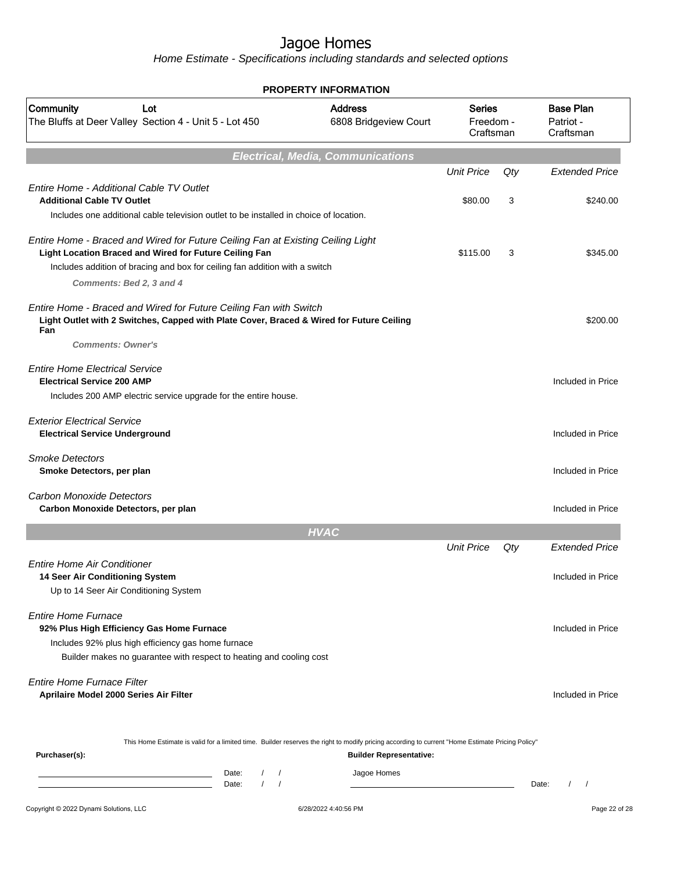|                                                                                                                                                                                                                                                      | <b>PROPERTY INFORMATION</b>              |                                         |          |                                            |
|------------------------------------------------------------------------------------------------------------------------------------------------------------------------------------------------------------------------------------------------------|------------------------------------------|-----------------------------------------|----------|--------------------------------------------|
| Community<br>Lot<br>The Bluffs at Deer Valley Section 4 - Unit 5 - Lot 450                                                                                                                                                                           | <b>Address</b><br>6808 Bridgeview Court  | <b>Series</b><br>Freedom -<br>Craftsman |          | <b>Base Plan</b><br>Patriot -<br>Craftsman |
|                                                                                                                                                                                                                                                      | <b>Electrical, Media, Communications</b> |                                         |          |                                            |
| Entire Home - Additional Cable TV Outlet<br><b>Additional Cable TV Outlet</b>                                                                                                                                                                        |                                          | <b>Unit Price</b><br>\$80.00            | Qty<br>3 | <b>Extended Price</b><br>\$240.00          |
| Includes one additional cable television outlet to be installed in choice of location.                                                                                                                                                               |                                          |                                         |          |                                            |
| Entire Home - Braced and Wired for Future Ceiling Fan at Existing Ceiling Light<br>Light Location Braced and Wired for Future Ceiling Fan<br>Includes addition of bracing and box for ceiling fan addition with a switch<br>Comments: Bed 2, 3 and 4 |                                          | \$115.00                                | 3        | \$345.00                                   |
| Entire Home - Braced and Wired for Future Ceiling Fan with Switch<br>Light Outlet with 2 Switches, Capped with Plate Cover, Braced & Wired for Future Ceiling<br>Fan<br><b>Comments: Owner's</b>                                                     |                                          |                                         |          | \$200.00                                   |
| <b>Entire Home Electrical Service</b><br><b>Electrical Service 200 AMP</b><br>Includes 200 AMP electric service upgrade for the entire house.                                                                                                        |                                          |                                         |          | Included in Price                          |
| <b>Exterior Electrical Service</b><br><b>Electrical Service Underground</b>                                                                                                                                                                          |                                          |                                         |          | Included in Price                          |
| <b>Smoke Detectors</b><br>Smoke Detectors, per plan                                                                                                                                                                                                  |                                          |                                         |          | Included in Price                          |
| <b>Carbon Monoxide Detectors</b><br>Carbon Monoxide Detectors, per plan                                                                                                                                                                              |                                          |                                         |          | Included in Price                          |
|                                                                                                                                                                                                                                                      | <b>HVAC</b>                              |                                         |          |                                            |
|                                                                                                                                                                                                                                                      |                                          | <b>Unit Price</b>                       | Qty      | <b>Extended Price</b>                      |
| <b>Entire Home Air Conditioner</b><br>14 Seer Air Conditioning System<br>Up to 14 Seer Air Conditioning System                                                                                                                                       |                                          |                                         |          | Included in Price                          |
| <b>Entire Home Furnace</b><br>92% Plus High Efficiency Gas Home Furnace<br>Includes 92% plus high efficiency gas home furnace<br>Builder makes no guarantee with respect to heating and cooling cost                                                 |                                          |                                         |          | Included in Price                          |
| <b>Entire Home Furnace Filter</b><br>Aprilaire Model 2000 Series Air Filter                                                                                                                                                                          |                                          |                                         |          | Included in Price                          |
| This Home Estimate is valid for a limited time. Builder reserves the right to modify pricing according to current "Home Estimate Pricing Policy"<br>Purchaser(s):                                                                                    | <b>Builder Representative:</b>           |                                         |          |                                            |
| Date:<br>$\sqrt{2}$<br>$\sqrt{2}$<br><u> 1989 - Johann Barn, amerikansk politiker (</u><br>$\sqrt{ }$<br>$\prime$<br>Date:                                                                                                                           | Jagoe Homes                              |                                         |          | Date:                                      |
| Copyright © 2022 Dynami Solutions, LLC                                                                                                                                                                                                               | 6/28/2022 4:40:56 PM                     |                                         |          | Page 22 of 28                              |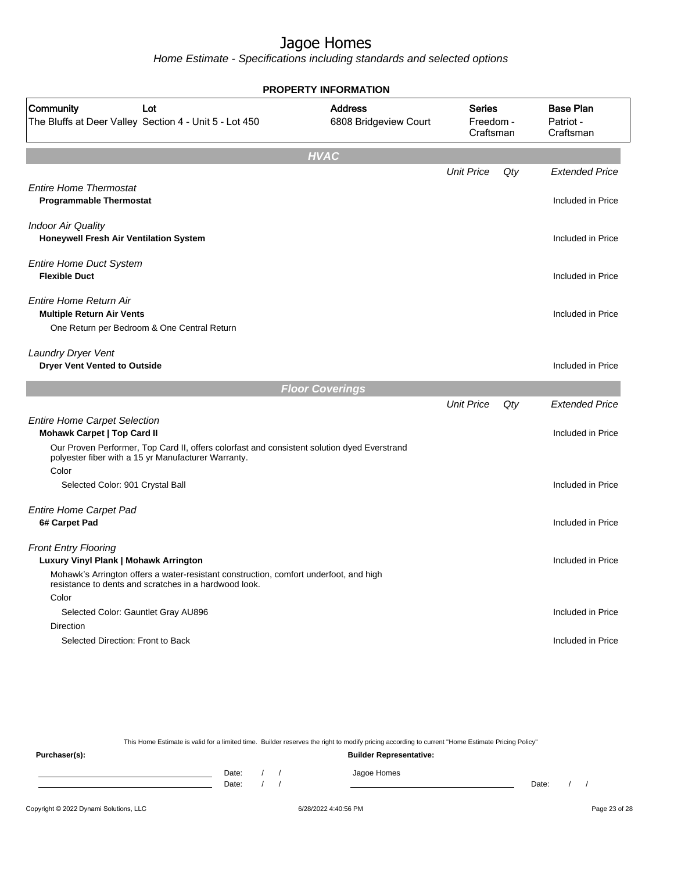Home Estimate - Specifications including standards and selected options

| <b>Base Plan</b><br><b>Address</b><br>Community<br>Lot<br><b>Series</b><br>The Bluffs at Deer Valley Section 4 - Unit 5 - Lot 450<br>6808 Bridgeview Court<br>Freedom -<br>Patriot -<br>Craftsman<br>Craftsman<br><b>HVAC</b><br><b>Unit Price</b><br>Qty<br><b>Entire Home Thermostat</b><br><b>Programmable Thermostat</b><br><b>Indoor Air Quality</b><br>Honeywell Fresh Air Ventilation System<br><b>Entire Home Duct System</b><br><b>Flexible Duct</b><br><b>Entire Home Return Air</b><br><b>Multiple Return Air Vents</b><br>One Return per Bedroom & One Central Return<br>Laundry Dryer Vent<br><b>Dryer Vent Vented to Outside</b><br><b>Floor Coverings</b><br><b>Unit Price</b><br>Qty<br><b>Entire Home Carpet Selection</b><br><b>Mohawk Carpet   Top Card II</b><br>Our Proven Performer, Top Card II, offers colorfast and consistent solution dyed Everstrand<br>polyester fiber with a 15 yr Manufacturer Warranty.<br>Color<br>Selected Color: 901 Crystal Ball<br>Included in Price<br><b>Entire Home Carpet Pad</b><br>6# Carpet Pad<br><b>Front Entry Flooring</b><br>Luxury Vinyl Plank   Mohawk Arrington<br>Mohawk's Arrington offers a water-resistant construction, comfort underfoot, and high<br>resistance to dents and scratches in a hardwood look.<br>Color<br>Selected Color: Gauntlet Gray AU896<br>Direction<br>Selected Direction: Front to Back | <b>PROPERTY INFORMATION</b> |  |                                            |
|-----------------------------------------------------------------------------------------------------------------------------------------------------------------------------------------------------------------------------------------------------------------------------------------------------------------------------------------------------------------------------------------------------------------------------------------------------------------------------------------------------------------------------------------------------------------------------------------------------------------------------------------------------------------------------------------------------------------------------------------------------------------------------------------------------------------------------------------------------------------------------------------------------------------------------------------------------------------------------------------------------------------------------------------------------------------------------------------------------------------------------------------------------------------------------------------------------------------------------------------------------------------------------------------------------------------------------------------------------------------------------------------|-----------------------------|--|--------------------------------------------|
|                                                                                                                                                                                                                                                                                                                                                                                                                                                                                                                                                                                                                                                                                                                                                                                                                                                                                                                                                                                                                                                                                                                                                                                                                                                                                                                                                                                         |                             |  |                                            |
|                                                                                                                                                                                                                                                                                                                                                                                                                                                                                                                                                                                                                                                                                                                                                                                                                                                                                                                                                                                                                                                                                                                                                                                                                                                                                                                                                                                         |                             |  |                                            |
|                                                                                                                                                                                                                                                                                                                                                                                                                                                                                                                                                                                                                                                                                                                                                                                                                                                                                                                                                                                                                                                                                                                                                                                                                                                                                                                                                                                         |                             |  | <b>Extended Price</b>                      |
|                                                                                                                                                                                                                                                                                                                                                                                                                                                                                                                                                                                                                                                                                                                                                                                                                                                                                                                                                                                                                                                                                                                                                                                                                                                                                                                                                                                         |                             |  | Included in Price                          |
|                                                                                                                                                                                                                                                                                                                                                                                                                                                                                                                                                                                                                                                                                                                                                                                                                                                                                                                                                                                                                                                                                                                                                                                                                                                                                                                                                                                         |                             |  | Included in Price                          |
|                                                                                                                                                                                                                                                                                                                                                                                                                                                                                                                                                                                                                                                                                                                                                                                                                                                                                                                                                                                                                                                                                                                                                                                                                                                                                                                                                                                         |                             |  | Included in Price                          |
|                                                                                                                                                                                                                                                                                                                                                                                                                                                                                                                                                                                                                                                                                                                                                                                                                                                                                                                                                                                                                                                                                                                                                                                                                                                                                                                                                                                         |                             |  | Included in Price                          |
|                                                                                                                                                                                                                                                                                                                                                                                                                                                                                                                                                                                                                                                                                                                                                                                                                                                                                                                                                                                                                                                                                                                                                                                                                                                                                                                                                                                         |                             |  | Included in Price                          |
|                                                                                                                                                                                                                                                                                                                                                                                                                                                                                                                                                                                                                                                                                                                                                                                                                                                                                                                                                                                                                                                                                                                                                                                                                                                                                                                                                                                         |                             |  |                                            |
|                                                                                                                                                                                                                                                                                                                                                                                                                                                                                                                                                                                                                                                                                                                                                                                                                                                                                                                                                                                                                                                                                                                                                                                                                                                                                                                                                                                         |                             |  | <b>Extended Price</b><br>Included in Price |
|                                                                                                                                                                                                                                                                                                                                                                                                                                                                                                                                                                                                                                                                                                                                                                                                                                                                                                                                                                                                                                                                                                                                                                                                                                                                                                                                                                                         |                             |  |                                            |
|                                                                                                                                                                                                                                                                                                                                                                                                                                                                                                                                                                                                                                                                                                                                                                                                                                                                                                                                                                                                                                                                                                                                                                                                                                                                                                                                                                                         |                             |  | Included in Price                          |
|                                                                                                                                                                                                                                                                                                                                                                                                                                                                                                                                                                                                                                                                                                                                                                                                                                                                                                                                                                                                                                                                                                                                                                                                                                                                                                                                                                                         |                             |  | Included in Price                          |
|                                                                                                                                                                                                                                                                                                                                                                                                                                                                                                                                                                                                                                                                                                                                                                                                                                                                                                                                                                                                                                                                                                                                                                                                                                                                                                                                                                                         |                             |  |                                            |
|                                                                                                                                                                                                                                                                                                                                                                                                                                                                                                                                                                                                                                                                                                                                                                                                                                                                                                                                                                                                                                                                                                                                                                                                                                                                                                                                                                                         |                             |  | Included in Price                          |
|                                                                                                                                                                                                                                                                                                                                                                                                                                                                                                                                                                                                                                                                                                                                                                                                                                                                                                                                                                                                                                                                                                                                                                                                                                                                                                                                                                                         |                             |  | Included in Price                          |
|                                                                                                                                                                                                                                                                                                                                                                                                                                                                                                                                                                                                                                                                                                                                                                                                                                                                                                                                                                                                                                                                                                                                                                                                                                                                                                                                                                                         |                             |  |                                            |

This Home Estimate is valid for a limited time. Builder reserves the right to modify pricing according to current "Home Estimate Pricing Policy" **Purchaser(s): Builder Representative:** Date: / / Jagoe Homes<br>Date: / / Jagoe Homes Date: / / Date: / /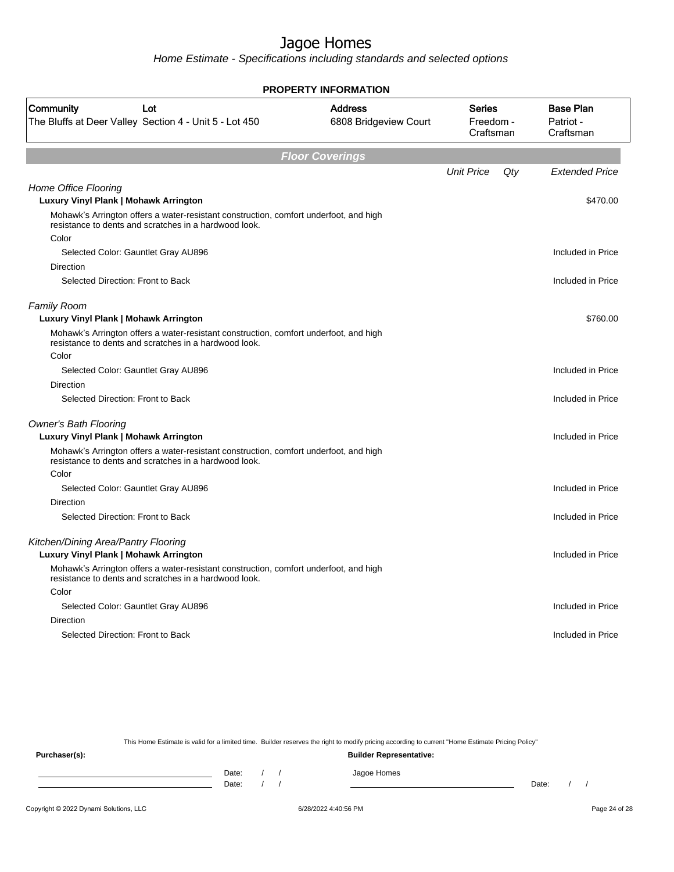Home Estimate - Specifications including standards and selected options

| <b>PROPERTY INFORMATION</b>                                                                                                                             |                                         |                                  |     |                                            |
|---------------------------------------------------------------------------------------------------------------------------------------------------------|-----------------------------------------|----------------------------------|-----|--------------------------------------------|
| Community<br>Lot<br>The Bluffs at Deer Valley Section 4 - Unit 5 - Lot 450                                                                              | <b>Address</b><br>6808 Bridgeview Court | Series<br>Freedom -<br>Craftsman |     | <b>Base Plan</b><br>Patriot -<br>Craftsman |
|                                                                                                                                                         | <b>Floor Coverings</b>                  |                                  |     |                                            |
|                                                                                                                                                         |                                         | <b>Unit Price</b>                | Qty | <b>Extended Price</b>                      |
| Home Office Flooring<br>Luxury Vinyl Plank   Mohawk Arrington                                                                                           |                                         |                                  |     | \$470.00                                   |
| Mohawk's Arrington offers a water-resistant construction, comfort underfoot, and high<br>resistance to dents and scratches in a hardwood look.<br>Color |                                         |                                  |     |                                            |
| Selected Color: Gauntlet Gray AU896                                                                                                                     |                                         |                                  |     | Included in Price                          |
| Direction                                                                                                                                               |                                         |                                  |     |                                            |
| Selected Direction: Front to Back                                                                                                                       |                                         |                                  |     | Included in Price                          |
| <b>Family Room</b><br>Luxury Vinyl Plank   Mohawk Arrington                                                                                             |                                         |                                  |     | \$760.00                                   |
| Mohawk's Arrington offers a water-resistant construction, comfort underfoot, and high<br>resistance to dents and scratches in a hardwood look.          |                                         |                                  |     |                                            |
| Color                                                                                                                                                   |                                         |                                  |     |                                            |
| Selected Color: Gauntlet Gray AU896                                                                                                                     |                                         |                                  |     | Included in Price                          |
| Direction                                                                                                                                               |                                         |                                  |     |                                            |
| Selected Direction: Front to Back                                                                                                                       |                                         |                                  |     | Included in Price                          |
| <b>Owner's Bath Flooring</b>                                                                                                                            |                                         |                                  |     |                                            |
| Luxury Vinyl Plank   Mohawk Arrington                                                                                                                   |                                         |                                  |     | Included in Price                          |
| Mohawk's Arrington offers a water-resistant construction, comfort underfoot, and high<br>resistance to dents and scratches in a hardwood look.          |                                         |                                  |     |                                            |
| Color                                                                                                                                                   |                                         |                                  |     |                                            |
| Selected Color: Gauntlet Gray AU896                                                                                                                     |                                         |                                  |     | Included in Price                          |
| <b>Direction</b>                                                                                                                                        |                                         |                                  |     |                                            |
| Selected Direction: Front to Back                                                                                                                       |                                         |                                  |     | Included in Price                          |
| Kitchen/Dining Area/Pantry Flooring                                                                                                                     |                                         |                                  |     |                                            |
| Luxury Vinyl Plank   Mohawk Arrington                                                                                                                   |                                         |                                  |     | Included in Price                          |
| Mohawk's Arrington offers a water-resistant construction, comfort underfoot, and high<br>resistance to dents and scratches in a hardwood look.          |                                         |                                  |     |                                            |
| Color                                                                                                                                                   |                                         |                                  |     |                                            |
| Selected Color: Gauntlet Gray AU896                                                                                                                     |                                         |                                  |     | Included in Price                          |
| Direction                                                                                                                                               |                                         |                                  |     |                                            |
| Selected Direction: Front to Back                                                                                                                       |                                         |                                  |     | Included in Price                          |
|                                                                                                                                                         |                                         |                                  |     |                                            |

This Home Estimate is valid for a limited time. Builder reserves the right to modify pricing according to current "Home Estimate Pricing Policy"

**Purchaser(s): Builder Representative:** Date: / / Jagoe Homes<br>Date: / / Jagoe Homes Date: / / Date: / /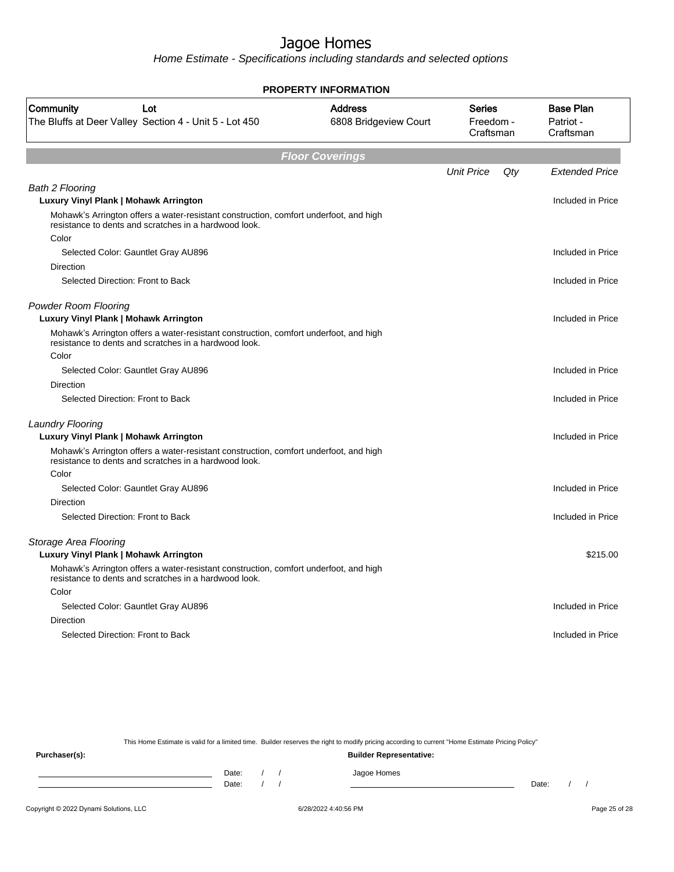Home Estimate - Specifications including standards and selected options

|                                                                                                                                                | <b>PROPERTY INFORMATION</b>             |                                         |     |                                            |
|------------------------------------------------------------------------------------------------------------------------------------------------|-----------------------------------------|-----------------------------------------|-----|--------------------------------------------|
| Community<br>Lot<br>The Bluffs at Deer Valley Section 4 - Unit 5 - Lot 450                                                                     | <b>Address</b><br>6808 Bridgeview Court | <b>Series</b><br>Freedom -<br>Craftsman |     | <b>Base Plan</b><br>Patriot -<br>Craftsman |
|                                                                                                                                                | <b>Floor Coverings</b>                  |                                         |     |                                            |
|                                                                                                                                                |                                         | <b>Unit Price</b>                       | Qty | <b>Extended Price</b>                      |
| <b>Bath 2 Flooring</b>                                                                                                                         |                                         |                                         |     |                                            |
| Luxury Vinyl Plank   Mohawk Arrington                                                                                                          |                                         |                                         |     | Included in Price                          |
| Mohawk's Arrington offers a water-resistant construction, comfort underfoot, and high<br>resistance to dents and scratches in a hardwood look. |                                         |                                         |     |                                            |
| Color                                                                                                                                          |                                         |                                         |     |                                            |
| Selected Color: Gauntlet Gray AU896                                                                                                            |                                         |                                         |     | Included in Price                          |
| Direction                                                                                                                                      |                                         |                                         |     |                                            |
| Selected Direction: Front to Back                                                                                                              |                                         |                                         |     | Included in Price                          |
| <b>Powder Room Flooring</b><br>Luxury Vinyl Plank   Mohawk Arrington                                                                           |                                         |                                         |     | Included in Price                          |
| Mohawk's Arrington offers a water-resistant construction, comfort underfoot, and high<br>resistance to dents and scratches in a hardwood look. |                                         |                                         |     |                                            |
| Color                                                                                                                                          |                                         |                                         |     |                                            |
| Selected Color: Gauntlet Gray AU896                                                                                                            |                                         |                                         |     | Included in Price                          |
| Direction                                                                                                                                      |                                         |                                         |     |                                            |
| Selected Direction: Front to Back                                                                                                              |                                         |                                         |     | Included in Price                          |
| Laundry Flooring                                                                                                                               |                                         |                                         |     |                                            |
| Luxury Vinyl Plank   Mohawk Arrington                                                                                                          |                                         |                                         |     | Included in Price                          |
| Mohawk's Arrington offers a water-resistant construction, comfort underfoot, and high<br>resistance to dents and scratches in a hardwood look. |                                         |                                         |     |                                            |
| Color                                                                                                                                          |                                         |                                         |     |                                            |
| Selected Color: Gauntlet Gray AU896                                                                                                            |                                         |                                         |     | Included in Price                          |
| <b>Direction</b>                                                                                                                               |                                         |                                         |     |                                            |
| Selected Direction: Front to Back                                                                                                              |                                         |                                         |     | Included in Price                          |
| Storage Area Flooring                                                                                                                          |                                         |                                         |     |                                            |
| Luxury Vinyl Plank   Mohawk Arrington                                                                                                          |                                         |                                         |     | \$215.00                                   |
| Mohawk's Arrington offers a water-resistant construction, comfort underfoot, and high<br>resistance to dents and scratches in a hardwood look. |                                         |                                         |     |                                            |
| Color                                                                                                                                          |                                         |                                         |     |                                            |
| Selected Color: Gauntlet Gray AU896                                                                                                            |                                         |                                         |     | Included in Price                          |
| Direction                                                                                                                                      |                                         |                                         |     |                                            |
| Selected Direction: Front to Back                                                                                                              |                                         |                                         |     | Included in Price                          |
|                                                                                                                                                |                                         |                                         |     |                                            |

This Home Estimate is valid for a limited time. Builder reserves the right to modify pricing according to current "Home Estimate Pricing Policy"

**Purchaser(s): Builder Representative:** Date: / / Jagoe Homes<br>Date: / / Jagoe Homes Date: / / Date: / /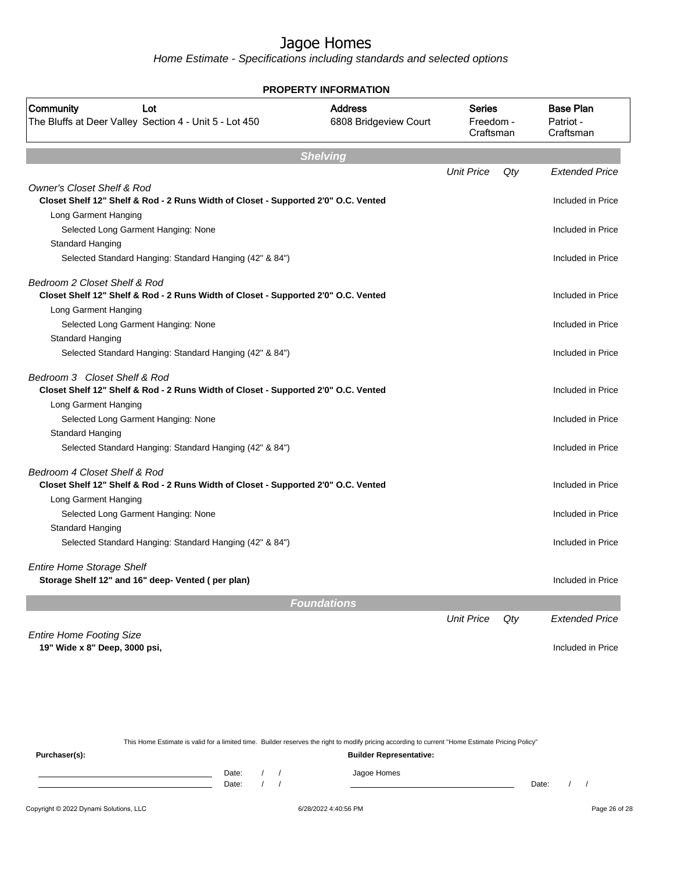Home Estimate - Specifications including standards and selected options

| PROPERTY INFORMATION                                                                                                        |                                         |                                  |     |                                            |  |  |  |  |
|-----------------------------------------------------------------------------------------------------------------------------|-----------------------------------------|----------------------------------|-----|--------------------------------------------|--|--|--|--|
| Community<br>Lot<br>The Bluffs at Deer Valley Section 4 - Unit 5 - Lot 450                                                  | <b>Address</b><br>6808 Bridgeview Court | Series<br>Freedom -<br>Craftsman |     | <b>Base Plan</b><br>Patriot -<br>Craftsman |  |  |  |  |
| <b>Shelving</b>                                                                                                             |                                         |                                  |     |                                            |  |  |  |  |
|                                                                                                                             |                                         | <b>Unit Price</b>                | Qty | <b>Extended Price</b>                      |  |  |  |  |
| <b>Owner's Closet Shelf &amp; Rod</b><br>Closet Shelf 12" Shelf & Rod - 2 Runs Width of Closet - Supported 2'0" O.C. Vented |                                         |                                  |     | Included in Price                          |  |  |  |  |
| Long Garment Hanging                                                                                                        |                                         |                                  |     |                                            |  |  |  |  |
| Selected Long Garment Hanging: None                                                                                         |                                         |                                  |     | Included in Price                          |  |  |  |  |
| Standard Hanging                                                                                                            |                                         |                                  |     |                                            |  |  |  |  |
| Selected Standard Hanging: Standard Hanging (42" & 84")                                                                     |                                         |                                  |     | Included in Price                          |  |  |  |  |
| Bedroom 2 Closet Shelf & Rod                                                                                                |                                         |                                  |     | Included in Price                          |  |  |  |  |
| Closet Shelf 12" Shelf & Rod - 2 Runs Width of Closet - Supported 2'0" O.C. Vented<br>Long Garment Hanging                  |                                         |                                  |     |                                            |  |  |  |  |
| Selected Long Garment Hanging: None                                                                                         |                                         |                                  |     | Included in Price                          |  |  |  |  |
| Standard Hanging                                                                                                            |                                         |                                  |     |                                            |  |  |  |  |
| Selected Standard Hanging: Standard Hanging (42" & 84")                                                                     |                                         |                                  |     | Included in Price                          |  |  |  |  |
|                                                                                                                             |                                         |                                  |     |                                            |  |  |  |  |
| Bedroom 3 Closet Shelf & Rod<br>Closet Shelf 12" Shelf & Rod - 2 Runs Width of Closet - Supported 2'0" O.C. Vented          |                                         |                                  |     | Included in Price                          |  |  |  |  |
| Long Garment Hanging                                                                                                        |                                         |                                  |     |                                            |  |  |  |  |
| Selected Long Garment Hanging: None                                                                                         |                                         |                                  |     | Included in Price                          |  |  |  |  |
| <b>Standard Hanging</b>                                                                                                     |                                         |                                  |     |                                            |  |  |  |  |
| Selected Standard Hanging: Standard Hanging (42" & 84")                                                                     |                                         |                                  |     | Included in Price                          |  |  |  |  |
| Bedroom 4 Closet Shelf & Rod                                                                                                |                                         |                                  |     |                                            |  |  |  |  |
| Closet Shelf 12" Shelf & Rod - 2 Runs Width of Closet - Supported 2'0" O.C. Vented                                          |                                         |                                  |     | Included in Price                          |  |  |  |  |
| Long Garment Hanging                                                                                                        |                                         |                                  |     |                                            |  |  |  |  |
| Selected Long Garment Hanging: None                                                                                         |                                         |                                  |     | Included in Price                          |  |  |  |  |
| Standard Hanging                                                                                                            |                                         |                                  |     |                                            |  |  |  |  |
| Selected Standard Hanging: Standard Hanging (42" & 84")                                                                     |                                         |                                  |     | Included in Price                          |  |  |  |  |
| <b>Entire Home Storage Shelf</b>                                                                                            |                                         |                                  |     |                                            |  |  |  |  |
| Storage Shelf 12" and 16" deep- Vented (per plan)                                                                           |                                         |                                  |     | Included in Price                          |  |  |  |  |
|                                                                                                                             |                                         |                                  |     |                                            |  |  |  |  |
|                                                                                                                             | <b>Foundations</b>                      |                                  |     |                                            |  |  |  |  |
|                                                                                                                             |                                         | <b>Unit Price</b>                | Qty | <b>Extended Price</b>                      |  |  |  |  |
| <b>Entire Home Footing Size</b>                                                                                             |                                         |                                  |     |                                            |  |  |  |  |
| 19" Wide x 8" Deep, 3000 psi,                                                                                               |                                         |                                  |     | Included in Price                          |  |  |  |  |
|                                                                                                                             |                                         |                                  |     |                                            |  |  |  |  |
|                                                                                                                             |                                         |                                  |     |                                            |  |  |  |  |

This Home Estimate is valid for a limited time. Builder reserves the right to modify pricing according to current "Home Estimate Pricing Policy" **Purchaser(s): Builder Representative:**

Date: / / Jagoe Homes<br>Date: / / Jagoe Homes Date: / / **Date: / / 2006** Date: / / / Date: / / / Date: / / / 2006 Date: / / / 2006 Date: / / / 2006 Date: / / / 2006 Date: / / / 2007 Date: / / / 2007 Date: / / / 2007 Date: / / / 2007 Date: / / / 2007 Date: / / / 2007 D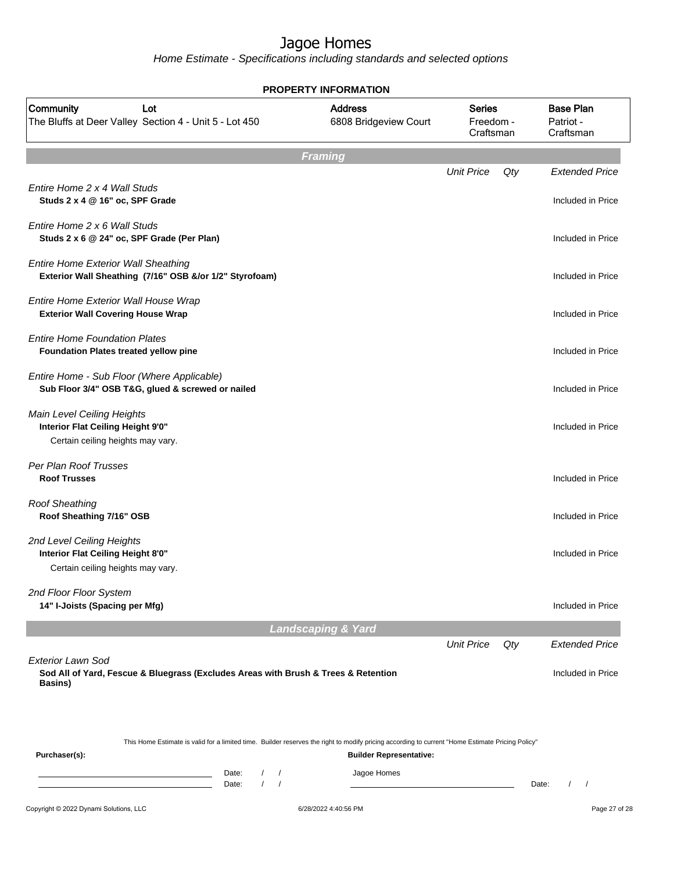|                                                                                                                                                                                | <b>PROPERTY INFORMATION</b>             |                                         |     |                                            |
|--------------------------------------------------------------------------------------------------------------------------------------------------------------------------------|-----------------------------------------|-----------------------------------------|-----|--------------------------------------------|
| Community<br>Lot<br>The Bluffs at Deer Valley Section 4 - Unit 5 - Lot 450                                                                                                     | <b>Address</b><br>6808 Bridgeview Court | <b>Series</b><br>Freedom -<br>Craftsman |     | <b>Base Plan</b><br>Patriot -<br>Craftsman |
|                                                                                                                                                                                | <b>Framing</b>                          |                                         |     |                                            |
| Entire Home 2 x 4 Wall Studs<br>Studs 2 x 4 @ 16" oc, SPF Grade                                                                                                                |                                         | <b>Unit Price</b>                       | Qty | <b>Extended Price</b><br>Included in Price |
| Entire Home 2 x 6 Wall Studs<br>Studs 2 x 6 @ 24" oc, SPF Grade (Per Plan)                                                                                                     |                                         |                                         |     | Included in Price                          |
| <b>Entire Home Exterior Wall Sheathing</b><br>Exterior Wall Sheathing (7/16" OSB &/or 1/2" Styrofoam)                                                                          |                                         |                                         |     | Included in Price                          |
| Entire Home Exterior Wall House Wrap<br><b>Exterior Wall Covering House Wrap</b>                                                                                               |                                         |                                         |     | Included in Price                          |
| <b>Entire Home Foundation Plates</b><br>Foundation Plates treated yellow pine                                                                                                  |                                         |                                         |     | Included in Price                          |
| Entire Home - Sub Floor (Where Applicable)<br>Sub Floor 3/4" OSB T&G, glued & screwed or nailed                                                                                |                                         |                                         |     | Included in Price                          |
| Main Level Ceiling Heights<br>Interior Flat Ceiling Height 9'0"<br>Certain ceiling heights may vary.                                                                           |                                         |                                         |     | Included in Price                          |
| Per Plan Roof Trusses<br><b>Roof Trusses</b>                                                                                                                                   |                                         |                                         |     | Included in Price                          |
| <b>Roof Sheathing</b><br>Roof Sheathing 7/16" OSB                                                                                                                              |                                         |                                         |     | Included in Price                          |
| 2nd Level Ceiling Heights<br>Interior Flat Ceiling Height 8'0"<br>Certain ceiling heights may vary.                                                                            |                                         |                                         |     | Included in Price                          |
| 2nd Floor Floor System<br>14" I-Joists (Spacing per Mfg)                                                                                                                       |                                         |                                         |     | Included in Price                          |
|                                                                                                                                                                                | <b>Landscaping &amp; Yard</b>           |                                         |     |                                            |
| <b>Exterior Lawn Sod</b>                                                                                                                                                       |                                         | <b>Unit Price</b>                       | Qty | <b>Extended Price</b>                      |
| Sod All of Yard, Fescue & Bluegrass (Excludes Areas with Brush & Trees & Retention<br><b>Basins</b> )                                                                          |                                         |                                         |     | Included in Price                          |
| This Home Estimate is valid for a limited time. Builder reserves the right to modify pricing according to current "Home Estimate Pricing Policy"<br>Purchaser(s):              | <b>Builder Representative:</b>          |                                         |     |                                            |
| Date:<br>$\sqrt{2}$<br>$\prime$<br><u> 1989 - Johann Barn, mars ann an t-Amhain Aonaich an t-Aonaich an t-Aonaich ann an t-Aonaich ann an t-Aonaich</u><br>$\sqrt{ }$<br>Date: | Jagoe Homes                             |                                         |     | Date:                                      |
| Copyright © 2022 Dynami Solutions, LLC                                                                                                                                         | 6/28/2022 4:40:56 PM                    |                                         |     | Page 27 of 28                              |